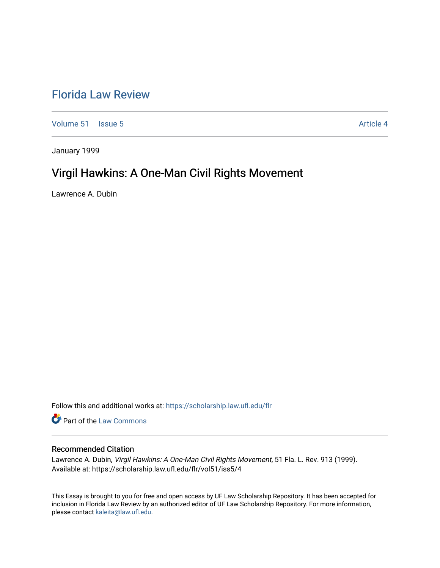# [Florida Law Review](https://scholarship.law.ufl.edu/flr)

[Volume 51](https://scholarship.law.ufl.edu/flr/vol51) | [Issue 5](https://scholarship.law.ufl.edu/flr/vol51/iss5) Article 4

January 1999

# Virgil Hawkins: A One-Man Civil Rights Movement

Lawrence A. Dubin

Follow this and additional works at: [https://scholarship.law.ufl.edu/flr](https://scholarship.law.ufl.edu/flr?utm_source=scholarship.law.ufl.edu%2Fflr%2Fvol51%2Fiss5%2F4&utm_medium=PDF&utm_campaign=PDFCoverPages)

Part of the [Law Commons](http://network.bepress.com/hgg/discipline/578?utm_source=scholarship.law.ufl.edu%2Fflr%2Fvol51%2Fiss5%2F4&utm_medium=PDF&utm_campaign=PDFCoverPages)

# Recommended Citation

Lawrence A. Dubin, Virgil Hawkins: A One-Man Civil Rights Movement, 51 Fla. L. Rev. 913 (1999). Available at: https://scholarship.law.ufl.edu/flr/vol51/iss5/4

This Essay is brought to you for free and open access by UF Law Scholarship Repository. It has been accepted for inclusion in Florida Law Review by an authorized editor of UF Law Scholarship Repository. For more information, please contact [kaleita@law.ufl.edu](mailto:kaleita@law.ufl.edu).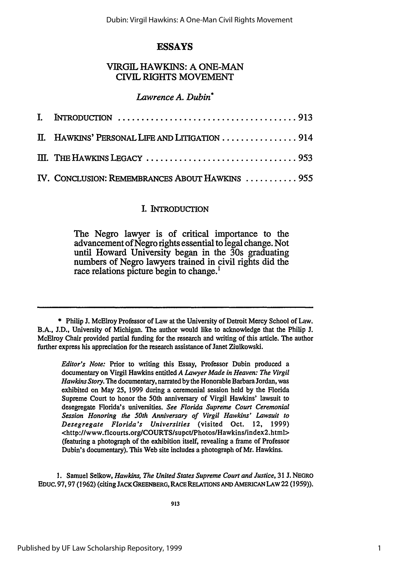# **ESSAYS**

# VIRGIL HAWKINS: **A ONE-MAN** CIVIL RIGHTS MOVEMENT

# *Lawrence A. Dubin\**

| I. INTRODUCTION $\ldots \ldots \ldots \ldots \ldots \ldots \ldots \ldots \ldots \ldots \ldots \ldots \ldots$ |  |
|--------------------------------------------------------------------------------------------------------------|--|
| II. HAWKINS' PERSONAL LIFE AND LITIGATION  914                                                               |  |
|                                                                                                              |  |
| IV. CONCLUSION: REMEMBRANCES ABOUT HAWKINS  955                                                              |  |

# **I. INTRODUCTION**

The Negro lawyer is of critical importance to the advancement of Negro rights essential to legal change. Not until Howard University began in the 30s graduating numbers of Negro lawyers trained in civil rights did the race relations picture begin to change.<sup>1</sup>

*Editor's Note:* Prior to writing this Essay, Professor Dubin produced a documentary on Virgil Hawkins entitled *A Lawyer Made in Heaven: The Virgil Hawkins Story. The* documentary, narrated by the Honorable Barbara Jordan, was exhibited on May **25,** 1999 during a ceremonial session held by the Florida Supreme Court to honor the 50th anniversary of Virgil Hawkins' lawsuit to desegregate Florida's universities. *See Florida Supreme Court Ceremonial Session Honoring the 50th Anniversary of Virgil Hawkins' Lawsuit to Desegregate Florida's Universities* (visited Oct. 12, 1999) <http://www.flcourts.org/COURTS/supct/Photos/Hawkins/index2.html> (featuring a photograph of the exhibition itself, revealing a frame of Professor Dubin's documentary). This Web site includes a photograph of Mr. Hawkins.

1. Samuel Selkow, *Hawkins, The United States Supreme Court and Justice,* 31 J. **NEGRO EDUC. 97,97** (1962) (citing **JACKGREENBERG,** RACE **RELATIONS AND AMERICAN** LAW 22 (1959)).

<sup>\*</sup> Philip J. McElroy Professor of Law at the University of Detroit Mercy School of Law. B.A., J.D., University of Michigan. The author would like to acknowledge that the Philip J. McElroy Chair provided partial funding for the research and writing of this article. The author further express his appreciation for the research assistance of Janet Ziulkowski.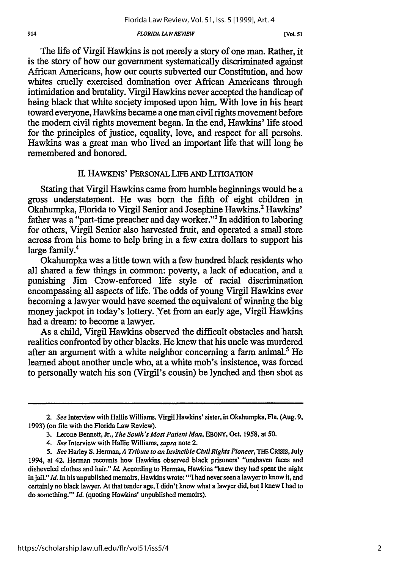#### *FLORIDA LAWREVIEW*

*[Vol. 51*

The life of Virgil Hawkins is not merely a story of one man. Rather, it is the story of how our government systematically discriminated against African Americans, how our courts subverted our Constitution, and how whites cruelly exercised domination over African Americans through intimidation and brutality. Virgil Hawkins never accepted the handicap of being black that white society imposed upon him. With love in his heart toward everyone, Hawkins became a one man civil rights movement before the modem civil rights movement began. In the end, Hawkins' life stood for the principles of justice, equality, love, and respect for all persohs. Hawkins was a great man who lived an important life that will long be remembered and honored.

## II. **HAWKINS'** PERSONAL LIFE **AND** LITIGATION

Stating that Virgil Hawkins came from humble beginnings would be a gross understatement. He was born the fifth of eight children in Okahumpka, Florida to Virgil Senior and Josephine Hawkins.' Hawkins' father was a "part-time preacher and day worker."3 In addition to laboring for others, Virgil Senior also harvested fruit, and operated a small store across from his home to help bring in a few extra dollars to support his large family.<sup>4</sup>

Okahumpka was a little town with a few hundred black residents who all shared a few things in common: poverty, a lack of education, and a punishing Jim Crow-enforced life style of racial discrimination encompassing all aspects of life. The odds of young Virgil Hawkins ever becoming a lawyer would have seemed the equivalent of winning the big money jackpot in today's lottery. Yet from an early age, Virgil Hawkins had a dream: to become a lawyer.

As a child, Virgil Hawkins observed the difficult obstacles and harsh realities confronted by other blacks. He knew that his uncle was murdered after an argument with a white neighbor concerning a farm animal.<sup>5</sup> He learned about another uncle who, at a white mob's insistence, was forced to personally watch his son (Virgil's cousin) be lynched and then shot as

*<sup>2.</sup> See* Interview with Hallie Williams, Virgil Hawkins' sister, in Okahumpka, Fla. (Aug. 9, **1993)** (on file with the Florida Law Review).

<sup>3.</sup> Lerone Bennett, Jr., *The South's Most Patient Man,* EBONY, Oct. 1958, at 50.

*<sup>4.</sup> See* Interview with Hallie Williams, *supra* note 2.

*<sup>5.</sup> See* Harley **S.** Herman, *A Tribute to an Invincible Civil Rights Pioneer, THE* **CRISIS,** July 1994, at 42. Herman recounts how Hawkins observed black prisoners' "unshaven faces and disheveled clothes and hair." *Id.* According to Herman, Hawkins "knew they had spent the night in jail." *Id.* In his unpublished memoirs, Hawkins wrote: "'I had never seen a lawyer to know it, and certainly no black lawyer. At that tender age, I didn't know what a lawyer did, but I knew I had to do something."' *Id.* (quoting Hawkins' unpublished memoirs).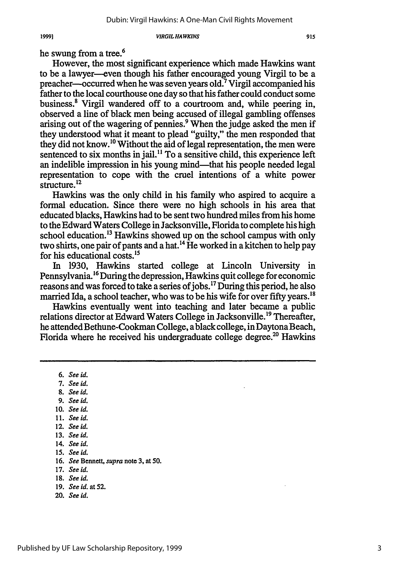he swung from a tree.<sup>6</sup>

However, the most significant experience which made Hawkins want to be a lawyer-even though his father encouraged young Virgil to be a preacher—occurred when he was seven years old.<sup>7</sup> Virgil accompanied his father to the local courthouse one day so that his father could conduct some business.<sup>8</sup> Virgil wandered off to a courtroom and, while peering in, observed a line of black men being accused of illegal gambling offenses arising out of the wagering of pennies.<sup>9</sup> When the judge asked the men if they understood what it meant to plead "guilty," the men responded that they did not know.'0 Without the aid of legal representation, the men were sentenced to six months in jail. **"** To a sensitive child, this experience left an indelible impression in his young mind—that his people needed legal representation to cope with the cruel intentions of a white power structure.<sup>12</sup>

Hawkins was the only child in his family who aspired to acquire a formal education. Since there were no high schools in his area that educated blacks, Hawkins had to be sent two hundred miles from his home to the Edward Waters College in Jacksonville, Florida to complete his high school education.<sup>13</sup> Hawkins showed up on the school campus with only two shirts, one pair of pants and a hat.<sup>14</sup> He worked in a kitchen to help pay for his educational costs.<sup>15</sup>

In 1930, Hawkins started college at Lincoln University in Pennsylvania.<sup>16</sup> During the depression, Hawkins quit college for economic reasons and was forced to take a series of jobs.<sup>17</sup> During this period, he also married Ida, a school teacher, who was to be his wife for over fifty years.<sup>18</sup>

Hawkins eventually went into teaching and later became a public relations director at Edward Waters College in Jacksonville.<sup>19</sup> Thereafter, he attended Bethune-Cookman College, a black college, in Daytona Beach, Florida where he received his undergraduate college degree.<sup>20</sup> Hawkins

- *7. Seeki. 8. See id.*
- 9. See id.
- 
- **10.** *See id.*
- **11.** *See id.*
- **12.** *See id.*
- **13.** See id.
- 14. See **id.**
- **15.** See id.
- 16. *See* Bennett, *supra* note 3, at 50.
- 17. *See id.*
- **18.** *See id.*
- **19.** *See id. at* **52.**
- 20. *See id.*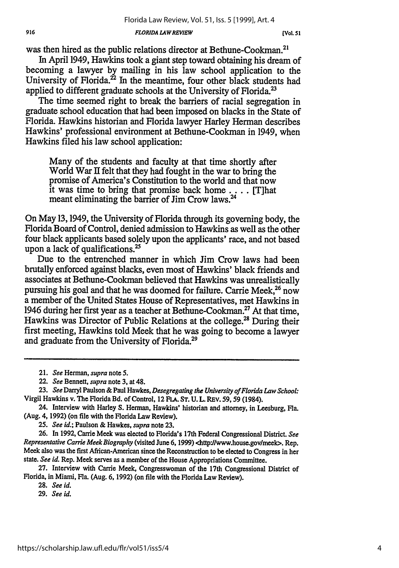*FLORIDA LAW REVIEW*

**[Vol. 51**

was then hired as the public relations director at Bethune-Cookman.<sup>2</sup>

In April 1949, Hawkins took a giant step toward obtaining his dream of becoming a lawyer by mailing in his law school application to the University of Florida.<sup>22</sup> In the meantime, four other black students had applied to different graduate schools at the University of Florida.<sup>23</sup>

The time seemed right to break the barriers of racial segregation in graduate school education that had been imposed on blacks in the State of Florida. Hawkins historian and Florida lawyer Harley Herman describes Hawkins' professional environment at Bethune-Cookman in 1949, when Hawkins filed his law school application:

Many of the students and faculty at that time shortly after World War II felt that they had fought in the war to bring the promise of America's Constitution to the world and that now it was time to bring that promise back home  $\ldots$  [T]hat meant eliminating the barrier of Jim Crow laws.<sup>24</sup>

On May 13,1949, the University of Florida through its governing body, the Florida Board of Control, denied admission to Hawkins as well as the other four black applicants based solely upon the applicants' race, and not based upon a lack of qualifications.<sup>25</sup>

Due to the entrenched manner in which Jim Crow laws had been brutally enforced against blacks, even most of Hawkins' black friends and associates at Bethune-Cookman believed that Hawkins was unrealistically pursuing his goal and that he was doomed for failure. Carrie Meek,<sup>26</sup> now a member of the United States House of Representatives, met Hawkins in 1946 during her first year as a teacher at Bethune-Cookman.<sup>27</sup> At that time, Hawkins was Director of Public Relations at the college.<sup>28</sup> During their first meeting, Hawkins told Meek that he was going to become a lawyer and graduate from the University of Florida.<sup>29</sup>

*25. See id.;* Paulson & Hawkes, *supra* note **23.**

26. In 1992, Carrie Meek was elected to Florida's 17th Federal Congressional District. *See Representative Carrie Meek Biography* (visited June 6, 1999) <http'/lwww.house.govlmeek>. Rep. Meek also was the first African-American since the Reconstruction to be elected to Congress in her state. *See id.* Rep. Meek serves as a member of the House Appropriations Committee.

27. Interview with Carrie Meek, Congresswoman of the 17th Congressional District of Florida, in Miami, Fla. (Aug. 6, 1992) (on file with the Florida Law Review).

28. *See id.*

*<sup>21.</sup> See* Herman, *supra* note 5.

<sup>22.</sup> *See* Bennett, *supra* note 3, at 48.

<sup>23.</sup> *See* Darryl Paulson & Paul Hawkes, *Desegregating the University of Florida Law School:* Virgil Hawkins v. The Florida Bd. of Control, 12 FLA. **ST. U.** L. REV. 59, 59 (1984).

<sup>24.</sup> Interview with Harley **S.** Herman, Hawkins' historian and attorney, in Leesburg, Fla. (Aug. 4, 1992) (on file with the Florida Law Review).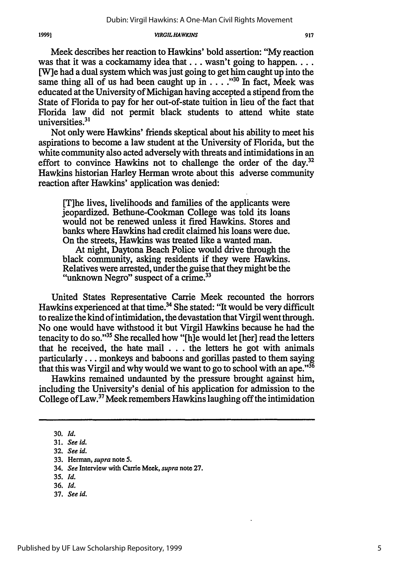Meek describes her reaction to Hawkins' bold assertion: "My reaction was that it was a cockamamy idea that ... wasn't going to happen... [W]e had a dual system which was just going to get him caught up into the same thing all of us had been caught up in . . . . "<sup>30</sup> In fact, Meek was educated at the University of Michigan having accepted a stipend from the State of Florida to pay for her out-of-state tuition in lieu of the fact that Florida law did not permit black students to attend white state universities.<sup>31</sup>

Not only were Hawkins' friends skeptical about his ability to meet his aspirations to become a law student at the University of Florida, but the white community also acted adversely with threats and intimidations in an effort to convince Hawkins not to challenge the order of the day.<sup>32</sup> Hawkins historian Harley Herman wrote about this adverse community reaction after Hawkins' application was denied:

[T]he lives, livelihoods and families of the applicants were jeopardized. Bethune-Cookman College was told its loans would not be renewed unless it fired Hawkins. Stores and banks where Hawkins had credit claimed his loans were due. On the streets, Hawkins was treated like a wanted man.

At night, Daytona Beach Police would drive through the black community, asking residents if they were Hawkins. Relatives were arrested, under the guise that they might be the "unknown Negro" suspect of a crime.<sup>33</sup>

United States Representative Carrie Meek recounted the horrors Hawkins experienced at that time.<sup>34</sup> She stated: "It would be very difficult to realize the kind of intimidation, the devastation that Virgil went through. No one would have withstood it but Virgil Hawkins because he had the tenacity to do so."<sup>35</sup> She recalled how "[h]e would let [her] read the letters that he received, the hate mail  $\ldots$  the letters he got with animals particularly... monkeys and baboons and gorillas pasted to them saying that this was Virgil and why would we want to go to school with an ape.<sup>356</sup>

Hawkins remained undaunted by the pressure brought against him, including the University's denial of his application for admission to the College of Law.<sup>37</sup> Meek remembers Hawkins laughing off the intimidation

**<sup>30.</sup>** *Id.*

<sup>31.</sup> *See id.*

<sup>32.</sup> *See id.*

<sup>33.</sup> Herman, supra note **5.**

<sup>34.</sup> See Interview with Carrie Meek, *supra* note **27.**

*<sup>35.</sup> Id.*

<sup>36.</sup> *Id.*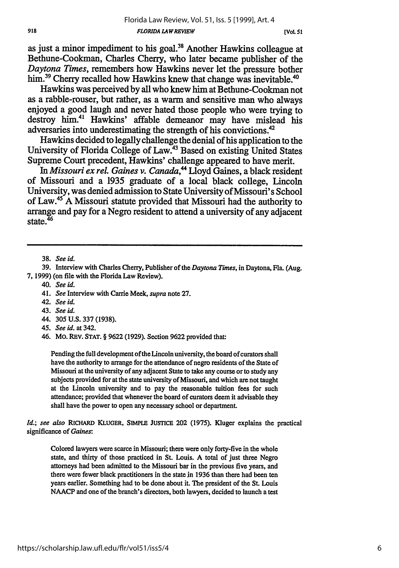as just a minor impediment to his **goal. <sup>38</sup>**Another Hawkins colleague at Bethune-Cookman, Charles Cherry, who later became publisher of the *Daytona Times,* remembers how Hawkins never let the pressure bother **him.39** Cherry recalled how Hawkins knew that change was inevitable.40

Hawkins was perceived **by** all who knew him at Bethune-Cookman not as a rabble-rouser, but rather, as a warm and sensitive man who always enjoyed a good laugh and never hated those people who were trying to destroy him.41 Hawkins' affable demeanor may have mislead his adversaries into underestimating the strength of his convictions.<sup>42</sup>

Hawkins decided to legally challenge the denial of his application to the University of Florida College of Law.43 Based on existing United States Supreme Court precedent, Hawkins' challenge appeared to have merit.

In *Missouri ex rel. Gaines v. Canada*,<sup>44</sup> Lloyd Gaines, a black resident of Missouri and a **1935** graduate of a local black college, Lincoln University, was denied admission to State University of Missouri's School of Law.45 **A** Missouri statute provided that Missouri had the authority to arrange and pay for a Negro resident to attend a university of any adjacent  $\frac{1}{2}$ state.<sup>46</sup>

38. *See id.*

40. *See id.*

- 42. *See id.*
- 43. *See id.*
- 44. **305** U.S. 337 (1938).
- 45. *See id.* at 342.

Pending the full development of the Lincoln university, the board of curators shall have the authority to arrange for the attendance of negro residents of the State of Missouri at the university of any adjacent State to take any course or to study any subjects provided for at the state university of Missouri, and which are not taught at the Lincoln university and to pay the reasonable tuition fees for such attendance; provided that whenever the board of curators deem it advisable they shall have the power to open any necessary school or department.

*Id.; see also* RICHARD KLUGER, **SIMPLE JUSUTCE** 202 (1975). Kluger explains the practical significance of *Gaines:*

Colored lawyers were scarce in Missouri; there were only forty-five in the whole state, and thirty of those practiced in St. Louis. A total of just three Negro attorneys had been admitted to the Missouri bar in the previous five years, and there were fewer black practitioners in the state in 1936 than there had been ten years earlier. Something had to be done about it. The president of the St. Louis NAACP and one of the branch's directors, both lawyers, decided to launch a test

**<sup>39.</sup>** Interview with Charles Cherry, Publisher of the *Daytona Times,* in Daytona, Fla. (Aug. 7, 1999) (on file with the Florida Law Review).

<sup>41.</sup> *See* Interview with Carrie Meek, *supra* note **27.**

<sup>46.</sup> Mo. REV. **STAT.** § **9622 (1929).** Section 9622 provided that: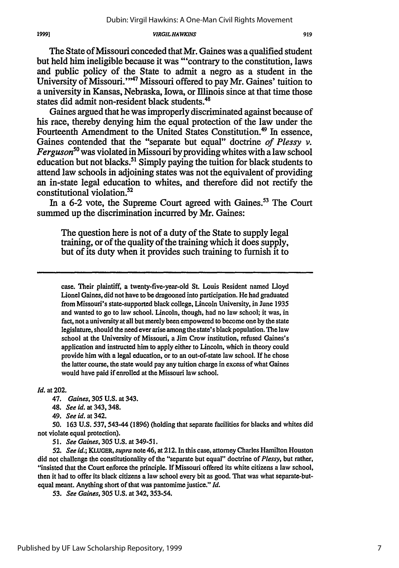The State of Missouri conceded that Mr. Gaines was a qualified student but held him ineligible because it was "'contrary to the constitution, laws and public policy of the State to admit a negro as a student in the University of Missouri."<sup>47</sup> Missouri offered to pay Mr. Gaines' tuition to a university in Kansas, Nebraska, Iowa, or fllinois since at that time those states did admit non-resident black students.<sup>4</sup>

Gaines argued that he was improperly discriminated against because of his race, thereby denying him the equal protection of the law under the Fourteenth Amendment to the United States Constitution.<sup>49</sup> In essence, Gaines contended that the "separate but equal" doctrine *of Plessy v. Ferguson50* was violated in Missouri by providing whites with a law school education but not blacks.<sup>51</sup> Simply paying the tuition for black students to attend law schools in adjoining states was not the equivalent of providing an in-state legal education to whites, and therefore did not rectify the constitutional violation.52

In a 6-2 vote, the Supreme Court agreed with Gaines.<sup>53</sup> The Court summed up the discrimination incurred by Mr. Gaines:

The question here is not of a duty of the State to supply legal training, or of the quality of the training which it does supply, but of its duty when it provides such training to furnish it to

case. Their plaintiff, a twenty-five-year-old St. Louis Resident named Lloyd Lionel Gaines, did not have to be dragooned into participation. He had graduated from Missouri's state-supported black college, Lincoln University, in June **1935** and wanted to go to law school. Lincoln, though, had no law school; it was, in fact, not a university at all but merely been empowered to become one **by** the state legislature, should the need ever arise among the state's black population. The law school at the University of Missouri, a Jim Crow institution, refused Gaines's application and instructed him to apply either to Lincoln, which in theory could provide him with a legal education, or to an out-of-state law school. If he chose the latter course, the state would pay any tuition charge in excess of what Gaines would have paid if enrolled at the Missouri law school.

*Id.* at 202.

47. *Gaines,* 305 U.S. at 343.

48. *See id.* at 343, 348.

49. *See id.* at 342.

50. 163 **U.S.** 537,543-44 **(1896)** (holding that separate facilities for blacks and whites did not violate equal protection).

51. *See Gaines,* **305** U.S. at 349-51.

**52.** *See* id.; *KLUGER,* supra note 46, at 212. In this case, attorney Charles Hamilton Houston did not challenge the constitutionality of the "separate but equal" doctrine of *Plessy,* but rather, "insisted that the Court enforce the principle. If Missouri offered its white citizens a law school, then it had to offer its black citizens a law school every bit as good. That was what separate-butequal meant. Anything short of that was pantomime justice." *Id.*

**53.** *See Gaines,* **305 U.S.** at 342,353-54.

Published by UF Law Scholarship Repository, 1999

**919**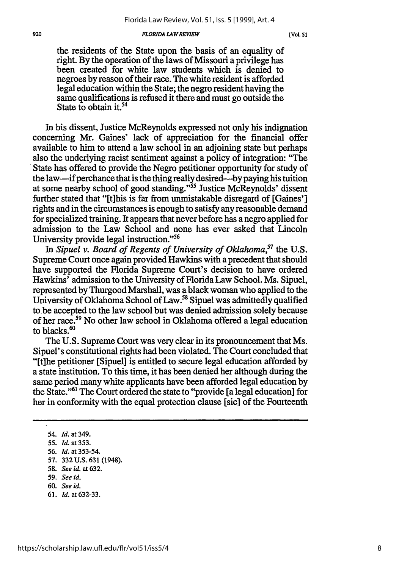#### *FLORIDA LAWREVIEW*

the residents of the State upon the basis of an equality of right. By the operation of the laws of Missouri a privilege has been created for white law students which is denied to negroes by reason of their race. The white resident is afforded legal education within the State; the negro resident having the same qualifications is refused it there and must go outside the State to obtain it.<sup>54</sup>

In his dissent, Justice McReynolds expressed not only his indignation concerning Mr. Gaines' lack of appreciation for the financial offer available to him to attend a law school in an adjoining state but perhaps also the underlying racist sentiment against a policy of integration: "The State has offered to provide the Negro petitioner opportunity for study of the law—if perchance that is the thing really desired—by paying his tuition at some nearby school of good standing."<sup>55</sup> Justice McReynolds' dissent further stated that "[t]his is far from unmistakable disregard of [Gaines'] rights and in the circumstances is enough to satisfy any reasonable demand for specialized training. It appears that never before has a negro applied for admission to the Law School and none has ever asked that Lincoln University provide legal instruction. **"56**

In *Sipuel v. Board of Regents of University of Oklahoma*,<sup>57</sup> the U.S. Supreme Court once again provided Hawkins with a precedent that should have supported the Florida Supreme Court's decision to have ordered Hawkins' admission to the University of Florida Law School. Ms. Sipuel, represented **by** Thurgood Marshall, was a black woman who applied to the University of Oklahoma School of Law.<sup>58</sup> Sipuel was admittedly qualified to be accepted to the law school but was denied admission solely because of her race.59 No other law school in Oklahoma offered a legal education to blacks.<sup>60</sup>

The **U.S.** Supreme Court was very clear in its pronouncement that Ms. Sipuel's constitutional rights had been violated. The Court concluded that "[t]he petitioner [Sipuel] is entitled to secure legal education afforded **by** a state institution. To this time, it has been denied her although during the same period many white applicants have been afforded legal education **by** the State.<sup>161</sup> The Court ordered the state to "provide [a legal education] for her in conformity with the equal protection clause [sic] of the Fourteenth

- **59.** *See id.*
- 60. *See id.*
- 61. *Id.* at 632-33.

**<sup>54.</sup>** *Id.* **at 349.**

*<sup>55.</sup> Id.* at **353.**

<sup>56.</sup> *Id.* at 353-54.

**<sup>57.</sup>** 332 U.S. 631 (1948).

<sup>58.</sup> *See id.* at 632.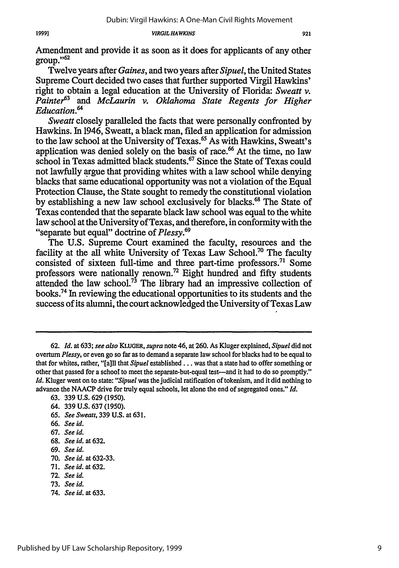Amendment and provide it as soon as it does for applicants of any other  $group.$ <sup> $52$ </sup>

Twelve years after *Gaines,* and two years after *Sipuel,* the United States Supreme Court decided two cases that further supported Virgil Hawkins' right to obtain a legal education at the University of Florida: *Sweatt v.* Painter<sup>63</sup> and *McLaurin v. Oklahoma State Regents for Higher* Education.<sup>64</sup>

*Sweatt* closely paralleled the facts that were personally confronted by Hawkins. In 1946, Sweatt, a black man, filed an application for admission to the law school at the University of Texas. 65 As with Hawkins, Sweatt's application was denied solely on the basis of race.<sup>66</sup> At the time, no law school in Texas admitted black students.<sup>67</sup> Since the State of Texas could not lawfully argue that providing whites with a law school while denying blacks that same educational opportunity was not a violation of the Equal Protection Clause, the State sought to remedy the constitutional violation by establishing a new law school exclusively for blacks.68 The State of Texas contended that the separate black law school was equal to the white law school at the University of Texas, and therefore, in conformity with the "separate but equal" doctrine of *Plessy.69*

The U.S. Supreme Court examined the faculty, resources and the facility at the all white University of Texas Law School.<sup>70</sup> The faculty consisted of sixteen full-time and three part-time professors.<sup>71</sup> Some professors were nationally renown.<sup>72</sup> Eight hundred and fifty students attended the law school.<sup>73</sup> The library had an impressive collection of books.74 In reviewing the educational opportunities to its students and the success of its alumni, the court acknowledged the University of Texas Law

- 65. *See Sweatt,* 339 U.S. at 631.
- 66. *See id.*
- 67. *See id.*

- 69. *See id.*
- 70. *See id.* at 632-33.
- 71. *See id.* at 632.
- **72.** *See id.*
- 73. *See id.*
- 74. *See id.* at 633.

<sup>62.</sup> *Id.* at 633; see also KLUGER, *supra* note 46, at 260. As Kluger explained, *Sipuel* did not overturn *Plessy,* or even go so far as to demand a separate law school for blacks had to be equal to that for whites, rather, "[a]ll that *Sipuel* established **...** was that a state had to offer something or other that passed for a school to meet the separate-but-equal test-and it had to do so promptly." *Id.* Kluger went on to state: *"Sipuel* was the judicial ratification of tokenism, and it did nothing to advance the NAACP drive for truly equal schools, let alone the end of segregated ones." *Id.*

<sup>63. 339</sup> U.S. **629** (1950).

<sup>64. 339</sup> U.S. **637** (1950).

<sup>68.</sup> *See id.* at 632.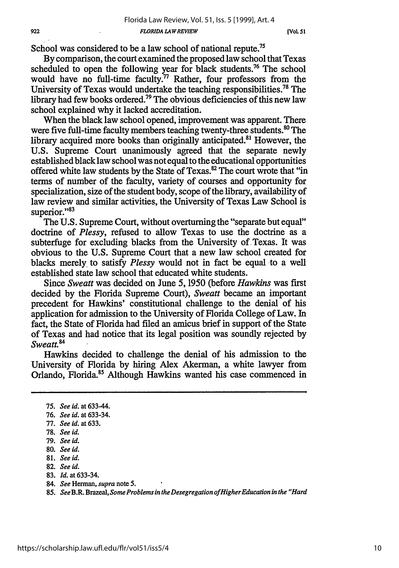School was considered to be a law school of national repute.<sup>75</sup>

By comparison, the court examined the proposed law school that Texas scheduled to open the following year for black students.<sup>76</sup> The school would have no full-time faculty.<sup>77</sup> Rather, four professors from the University of Texas would undertake the teaching responsibilities.78 The library had few books ordered.<sup>79</sup> The obvious deficiencies of this new law school explained why it lacked accreditation.

When the black law school opened, improvement was apparent. There were five full-time faculty members teaching twenty-three students.<sup>80</sup> The library acquired more books than originally anticipated.<sup>81</sup> However, the U.S. Supreme Court unanimously agreed that the separate newly established black law school was not equal to the educational opportunities offered white law students by the State of Texas.<sup>82</sup> The court wrote that "in terms of number of the faculty, variety of courses and opportunity for specialization, size of the student body, scope of the library, availability of law review and similar activities, the University of Texas Law School is superior."<sup>83</sup>

The U.S. Supreme Court, without overturning the "separate but equal" doctrine of *Plessy,* refused to allow Texas to use the doctrine as a subterfuge for excluding blacks from the University of Texas. It was obvious to the U.S. Supreme Court that a new law school created for blacks merely to satisfy *Plessy* would not in fact be equal to a well established state law school that educated white students.

Since *Sweatt* was decided on June 5, 1950 (before *Hawkins* was first decided **by** the Florida Supreme Court), *Sweaut* became an important precedent for Hawkins' constitutional challenge to the denial of his application for admission to the University of Florida College of Law. In fact, the State of Florida had filed an amicus brief in support of the State of Texas and had notice that its legal position was soundly rejected **by** *Sweatt.*

Hawkins decided to challenge the denial of his admission to the University of Florida by hiring Alex Akerman, a white lawyer from Orlando, Florida.85 Although Hawkins wanted his case commenced in

- 83. *Id.* at 633-34.
- 84. *See* Herman, *supra* note **5.**

<sup>75.</sup> *See id.* at 633-44.

<sup>76.</sup> *See id.* at 633-34.

<sup>77.</sup> *See id.* at 633.

<sup>78.</sup> *See id.*

<sup>79.</sup> *See id.*

<sup>80.</sup> *See id.*

<sup>81.</sup> *See id.*

<sup>82.</sup> *See id.*

<sup>85.</sup> *See* B.R. Brazeal, *Some Problems in theDesegregation offHigherEducation in the "Hard*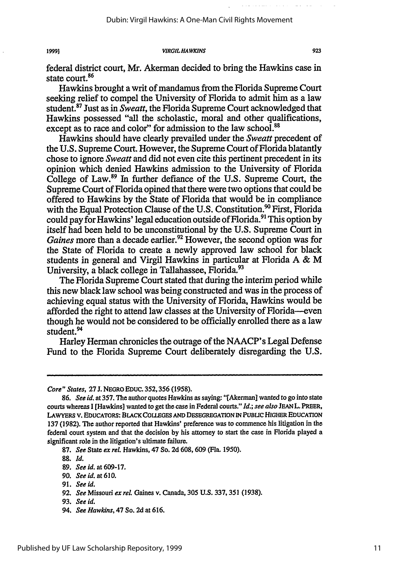federal district court, Mr. Akerman decided to bring the Hawkins case in state court.<sup>86</sup>

Hawkins brought a writ of mandamus from the Florida Supreme Court seeking relief to compel the University of Florida to admit him as a law student.87 Just as in *Sweatt,* the Florida Supreme Court acknowledged that Hawkins possessed "all the scholastic, moral and other qualifications, except as to race and color" for admission to the law school.<sup>88</sup>

Hawkins should have clearly prevailed under the *Sweatt* precedent of the U.S. Supreme Court. However, the Supreme Court of Florida blatantly chose to ignore *Sweatt* and did not even cite this pertinent precedent in its opinion which denied Hawkins admission to the University of Florida College of Law.<sup>89</sup> In further defiance of the U.S. Supreme Court, the Supreme Court of Florida opined that there were two options that could be offered to Hawkins by the State of Florida that would be in compliance with the Equal Protection Clause of the U.S. Constitution.<sup>90</sup> First, Florida could pay for Hawkins' legal education outside of Florida.<sup>91</sup> This option by itself had been held to be unconstitutional by the U.S. Supreme Court in *Gaines* more than a decade earlier.<sup>92</sup> However, the second option was for the State of Florida to create a newly approved law school for black students in general and Virgil Hawkins in particular at Florida A & M University, a black college in Tallahassee, Florida.<sup>93</sup>

The Florida Supreme Court stated that during the interim period while this new black law school was being constructed and was in the process of achieving equal status with the University of Florida, Hawkins would be afforded the right to attend law classes at the University of Florida--even though he would not be considered to be officially enrolled there as a law student.<sup>94</sup>

Harley Herman chronicles the outrage of the NAACP's Legal Defense Fund to the Florida Supreme Court deliberately disregarding the U.S.

19991

- 90. *See id.* at **610.**
- 91. **See** *id.*
- 92. *See Missouri ex rel. Gaines v. Canada, 305 U.S. 337, 351 (1938).*
- 93. See id.
- 94. *See Hawkins,* 47 So. **2d** at 616.

*Core" States,* **27** J. NEGRO EDUc. 352,356 (1958).

<sup>86.</sup> *See id.* at 357. The author quotes Hawkins as saying: "[Akerman] wanted to go into state courts whereas I [Hawkins] wanted to get the case in Federal courts." *Id.; see also* JEAN L. PREER, LAWYERS V. **EDUCATORS: BLACK COLLEGES AND DESEGREGATION IN** PUBuC HIGHER EDUCATION **137 (1982).** The author reported that Hawkins' preference was to commence his litigation in the federal court system and that the decision **by** his attorney to start the case in Florida played a significant role in the litigation's ultimate failure.

**<sup>87.</sup>** *See* State **ex** *reL* Hawkins, 47 So. **2d 608, 609 (Fla. 1950).**

**<sup>88.</sup>** *Id.*

**<sup>89.</sup>** *See id.* at **609-17.**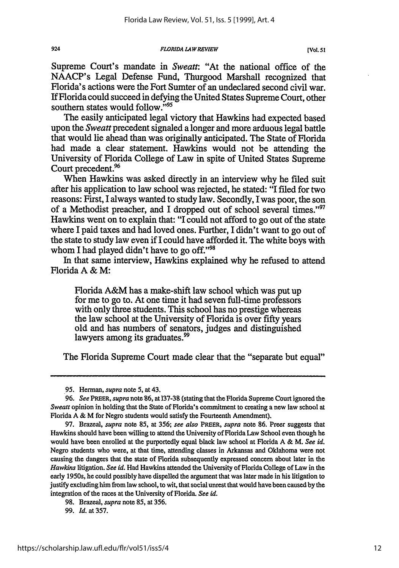*FLORIDA LA W REVIEW*

Supreme Court's mandate in Sweatt: "At the national office of the NAACP's Legal Defense Fund, Thurgood Marshall recognized that Florida's actions were the Fort Sumter of an undeclared second civil war. If Florida could succeed in defying the United States Supreme Court, other southern states would follow."<sup>95</sup>

The easily anticipated legal victory that Hawkins had expected based upon the Sweatt precedent signaled a longer and more arduous legal battle that would lie ahead than was originally anticipated. The State of Florida had made a clear statement. Hawkins would not be attending the University of Florida College of Law in spite of United States Supreme Court precedent.<sup>96</sup>

When Hawkins was asked directly in an interview why he filed suit after his application to law school was rejected, he stated: "I filed for two reasons: First, I always wanted to study law. Secondly, I was poor, the son of a Methodist preacher, and I dropped out of school several times."<sup>97</sup> Hawkins went on to explain that: "I could not afford to go out of the state where I paid taxes and had loved ones. Further, I didn't want to go out of the state to study law even if I could have afforded it. The white boys with whom I had played didn't have to go off."<sup>98</sup>

In that same interview, Hawkins explained why he refused to attend Florida A & M:

Florida A&M has a make-shift law school which was put up for me to go to. At one time it had seven full-time professors with only three students. This school has no prestige whereas the law school at the University of Florida is over fifty years old and has numbers of senators, judges and distinguished lawyers among its graduates.<sup>99</sup>

The Florida Supreme Court made clear that the "separate but equal"

924

<sup>95.</sup> Herman, *supra* note 5, at 43.

**<sup>96.</sup>** *See* PREER, *supra* note **86,** at **137-38** (stating that the Florida Supreme Court ignored the *Sweatt* opinion in holding that the State of Florida's commitment to creating a new law school at Florida A & M for Negro students would satisfy the Fourteenth Amendment).

<sup>97.</sup> Brazeal, *supra* note 85, at 356; *see also* PREER, *supra* note 86. Preer suggests that Hawkins should have been willing to attend the University of Florida Law School even though he would have been enrolled at the purportedly equal black law school at Florida A & M. *See id.* Negro students who were, at that time, attending classes in Arkansas and Oklahoma were not causing the dangers that the state of Florida subsequently expressed concern about later in the *Hawkins* litigation. *See id.* Had Hawkins attended the University of Florida College of Law in the early 1950s, he could possibly have dispelled the argument that was later made in his litigation to justify excluding him from law school, to wit, that social unrest that would have been caused by the integration of the races at the University of Florida. *See* id.

<sup>98.</sup> Brazeal, *supra* note 85, at 356.

<sup>99.</sup> *Id.* at 357.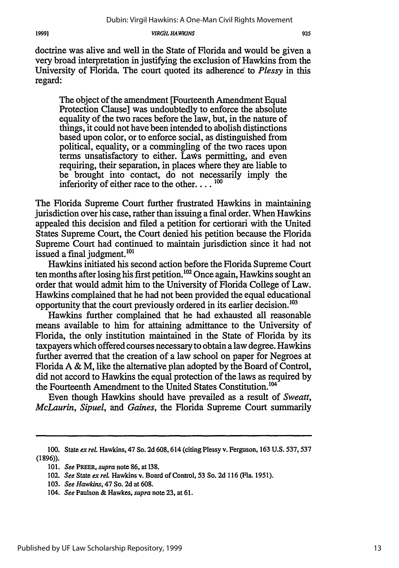doctrine was alive and well in the State of Florida and would be given a very broad interpretation in justifying the exclusion of Hawkins from the University of Florida. The court quoted its adherence to *Plessy* in this regard:

The object of the amendment [Fourteenth Amendment Equal Protection Clause] was undoubtedly to enforce the absolute equality of the two races before the law, but, in the nature of things, it could not have been intended to abolish distinctions based upon color, or to enforce social, as distinguished from political, equality, or a commingling of the two races upon terms unsatisfactory to either. LaWs permitting, and even requiring, their separation, in places where they are liable to be brought into contact, do not necessarily imply the inferiority of either race to the other.... **00**

The Florida Supreme Court further frustrated Hawkins in maintaining jurisdiction over his case, rather than issuing a final order. When Hawkins appealed this decision and filed a petition for certiorari with the United States Supreme Court, the Court denied his petition because the Florida Supreme Court had continued to maintain jurisdiction since it had not issued a final judgment.<sup>101</sup>

Hawkins initiated his second action before the Florida Supreme Court ten months after losing his first petition.<sup>102</sup> Once again, Hawkins sought an order that would admit him to the University of Florida College of Law. Hawkins complained that he had not been provided the equal educational opportunity that the court previously ordered in its earlier decision.<sup>103</sup>

Hawkins further complained that he had exhausted all reasonable means available to him for attaining admittance to the University of Florida, the only institution maintained in the State of Florida by its taxpayers which offered courses necessary to obtain alaw degree. Hawkins further averred that the creation of a law school on paper for Negroes at Florida A & M, like the alternative plan adopted by the Board of Control, did not accord to Hawkins the equal protection of the laws as required by the Fourteenth Amendment to the United States Constitution.<sup>104</sup>

Even though Hawkins should have prevailed as a result of *Sweatt, McLaurin, Sipuel, and Gaines,* the Florida Supreme Court summarily

<sup>100.</sup> State *ex el.* Hawkins, 47 So. 2d 608,614 (citing Plessy v. Ferguson, 163 U.S. **537,537** (1896)).

<sup>101.</sup> *See* PREER, *supra* note 86, at 138.

<sup>102.</sup> *See* State *ex reL* Hawkins v. Board of Control, 53 So. 2d **116** (Fla. 1951).

<sup>103.</sup> *See Hawkins,* 47 So. 2d at 608.

<sup>104.</sup> *See* Paulson & Hawkes, *supra* note **23,** at 61.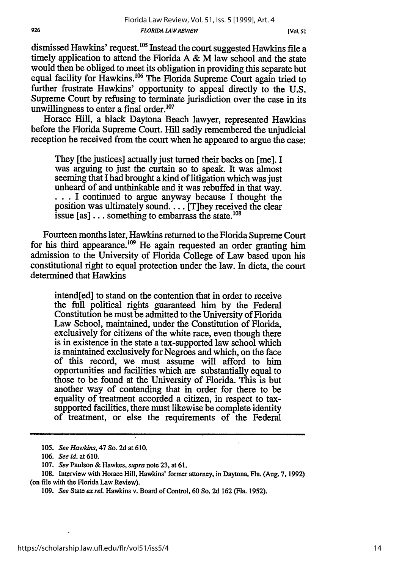dismissed Hawkins' request.<sup>105</sup> Instead the court suggested Hawkins file a timely application to attend the Florida  $A \& M$  law school and the state would then be obliged to meet its obligation in providing this separate but equal facility for Hawkins.<sup>106</sup> The Florida Supreme Court again tried to further frustrate Hawkins' opportunity to appeal directly to the U.S. Supreme Court by refusing to terminate jurisdiction over the case in its unwillingness to enter a final order. $107$ 

Horace Hill, a black Daytona Beach lawyer, represented Hawkins before the Florida Supreme Court. Hill sadly remembered the unjudicial reception he received from the court when he appeared to argue the case:

They [the justices] actually just turned their backs on [me]. I was arguing to just the curtain so to speak. It was almost seeming that I had brought a kind of litigation which was just unheard of and unthinkable and it was rebuffed in that way. ... I continued to argue anyway because I thought the position was ultimately sound.... [T]hey received the clear issue [as]  $\dots$  something to embarrass the state.<sup>108</sup>

Fourteen months later, Hawkins returned to the Florida Supreme Court for his third appearance.<sup>109</sup> He again requested an order granting him admission to the University of Florida College of Law based upon his constitutional right to equal protection under the law. In dicta, the court determined that Hawkins

intend[ed] to stand on the contention that in order to receive the full political rights guaranteed him by the Federal Constitution he must be admitted to the University of Florida Law School, maintained, under the Constitution of Florida, exclusively for citizens of the white race, even though there is in existence in the state a tax-supported law school which is maintained exclusively for Negroes and which, on the face of this record, we must assume will afford to him opportunities and facilities which are substantially equal to those to be found at the University of Florida. This is but another way of contending that in order for there to be equality of treatment accorded a citizen, in respect to taxsupported facilities, there must likewise be complete identity of treatment, or else the requirements of the Federal

926

<sup>105.</sup> *See Hawkins,* 47 So. 2d at 610.

<sup>106.</sup> *See id.* at **610.**

<sup>107.</sup> *See* Paulson & Hawkes, *supra* note 23, at 61.

<sup>108.</sup> Interview with Horace Hill, Hawkins' former attorney, in Daytona, Fla. (Aug. 7, 1992) (on **file** with the Florida Law Review).

*<sup>109.</sup> See* State *exreL* Hawkins v. Board of Control, 60 So. 2d 162 (Fla. 1952).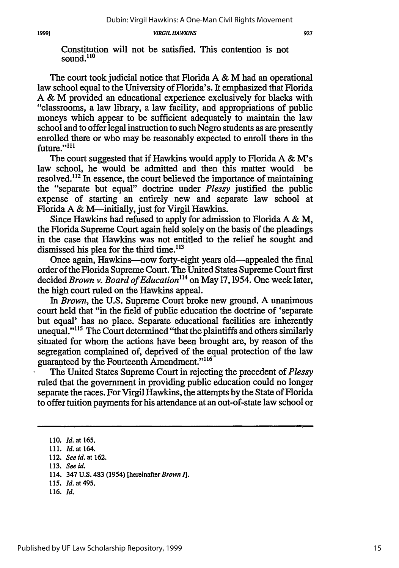Constitution will not be satisfied. This contention is not sound.<sup>110</sup>

The court took judicial notice that Florida A & M had an operational law school equal to the University of Florida's. It emphasized that Florida A & M provided an educational experience exclusively for blacks with "classrooms, a law library, a law facility, and appropriations of public moneys which appear to be sufficient adequately to maintain the law school and to offer legal instruction to such Negro students as are presently enrolled there or who may be reasonably expected to enroll there in the future."<sup>111</sup>

The court suggested that if Hawkins would apply to Florida **A &** M's law school, he would be admitted and then this matter would resolved.<sup>112</sup> In essence, the court believed the importance of maintaining the "separate but equal" doctrine under *Plessy* justified the public expense of starting an entirely new and separate law school at Florida A  $\&$  M—initially, just for Virgil Hawkins.

Since Hawkins had refused to apply for admission to Florida A & M, the Florida Supreme Court again held solely on the basis of the pleadings in the case that Hawkins was not entitled to the relief he sought and dismissed his plea for the third time. $113$ 

Once again, Hawkins-now forty-eight years old-appealed the final order of the Florida Supreme Court. The United States Supreme Court first decided *Brown v. Board of Education"4* on May 17,1954. One week later, the high court ruled on the Hawkins appeal.

In *Brown,* the U.S. Supreme Court broke new ground. A unanimous court held that "in the field of public education the doctrine of 'separate but equal' has no place. Separate educational facilities are inherently unequal."<sup>115</sup> The Court determined "that the plaintiffs and others similarly situated for whom the actions have been brought are, by reason of the segregation complained of, deprived of the equal protection of the law guaranteed by the Fourteenth Amendment."<sup>116</sup>

The United States Supreme Court in rejecting the precedent of *Plessy* ruled that the government in providing public education could no longer separate the races. For Virgil Hawkins, the attempts by the State of Florida to offer tuition payments for his attendance at an out-of-state law school or

- 115. **Id.** at 495.
- 116. Id.

<sup>110.</sup> Id. at 165.

<sup>111.</sup> *Id.* at 164.

<sup>112.</sup> *See id. at* 162.

<sup>113.</sup> See id.

<sup>114. 347</sup> U.S. 483 (1954) [hereinafter Brown **1].**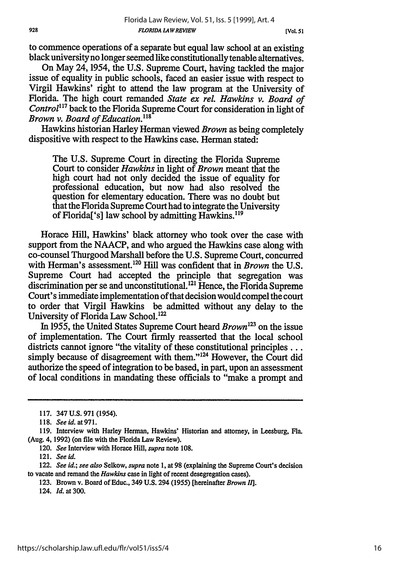*[Vol. 51*

to commence operations of a separate but equal law school at an existing black university no longer seemed like constitutionally tenable alternatives.

On May 24,1954, the U.S. Supreme Court, having tackled the major issue of equality in public schools, faced an easier issue with respect to Virgil Hawkins' right to attend the law program at the University of Florida. The high court remanded *State ex rel. Hawkins v. Board of Control1 7* back to the Florida Supreme Court for consideration in light of *Brown v. Board of Education.*<sup>118</sup>

Hawkins historian Harley Herman viewed *Brown* as being completely dispositive with respect to the Hawkins case. Herman stated:

The U.S. Supreme Court in directing the Florida Supreme Court to consider *Hawkins* in light of *Brown* meant that the high court had not only decided the issue of equality for professional education, but now had also resolved the question for elementary education. There was no doubt but that the Florida Supreme Court had to integrate the University of Florida<sup>['s]</sup> law school by admitting Hawkins.<sup>119</sup>

Horace Hill, Hawkins' black attorney who took over the case with support from the NAACP, and who argued the Hawkins case along with co-counsel Thurgood Marshall before the U.S. Supreme Court, concurred with Herman's assessment.<sup>120</sup> Hill was confident that in *Brown* the U.S. Supreme Court had accepted the principle that segregation was discrimination per se and unconstitutional.<sup>121</sup> Hence, the Florida Supreme Court's immediate implementation of that decision would compel the court to order that Virgil Hawkins be admitted without any delay to the University of Florida Law School.<sup>122</sup>

In 1955, the United States Supreme Court heard *Brown*<sup>123</sup> on the issue of implementation. The Court firmly reasserted that the local school districts cannot ignore "the vitality of these constitutional principles... simply because of disagreement with them."<sup>124</sup> However, the Court did authorize the speed of integration to be based, in part, upon an assessment of local conditions in mandating these officials to "make a prompt and

120. *See* Interview with Horace Hill, *supra* note **108.**

121. *See id.*

122. *See id.; see also* Selkow, *supra* note 1, at **98** (explaining the Supreme Court's decision to vacate and remand the *Hawkins* case in light of recent desegregation cases).

123. Brown v. Board of Educ., 349 U.S. 294 **(1955)** [hereinafter *Brown Il].*

124. *Id.* at 300.

<sup>117. 347</sup> U.S. 971 (1954).

<sup>118.</sup> *Seeid.at971.*

**<sup>119.</sup>** Interview with Harley Herman, Hawkins' Historian and attorney, in Leesburg, Fla. (Aug. 4, 1992) (on file with the Florida Law Review).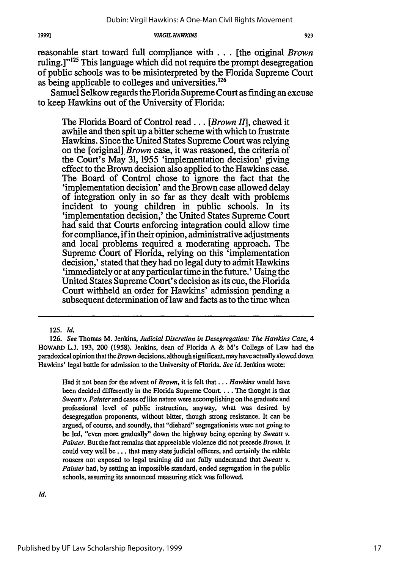reasonable start toward full compliance with... [the original *Brown* ruling.]"<sup>125</sup> This language which did not require the prompt desegregation of public schools was to be misinterpreted by the Florida Supreme Court as being applicable to colleges and universities.<sup>126</sup>

Samuel Selkow regards the Florida Supreme Court as finding an excuse to keep Hawkins out of the University of Florida:

The Florida Board of Control read... *[Brown I1],* chewed it awhile and then spit up a bitter scheme with which to frustrate Hawkins. Since the United States Supreme Court was relying on the [original] *Brown* case, it was reasoned, the criteria of the Court's May 31, 1955 'implementation decision' giving effect to the Brown decision also applied to the Hawkins case. The Board of Control chose to ignore the fact that the 'implementation decision' and the Brown case allowed delay of integration only in so far as they dealt with problems incident to young children in public schools. In its 'implementation decision,' the United States Supreme Court had said that Courts enforcing integration could allow time for compliance, if in their opinion, administrative adjustments and local problems required a moderating approach. The Supreme Court of Florida, relying on this 'implementation decision,' stated that they had no legal duty to admit Hawkins 'immediately or at any particular time in the future.' Using the United States Supreme Court's decision as its cue, the Florida Court withheld an order for Hawkins' admission pending a subsequent determination of law and facts as to the time when

125. *Id.*

1999]

Had it not been for the advent of *Brown,* it is felt that... *Hawkins* would have been decided differently in the Florida Supreme Court. ... The thought is that *Sweatt v. Painter* and cases of like nature were accomplishing on the graduate and professional level of public instruction, anyway, what was desired by desegregation proponents, without bitter, though strong resistance. It can be argued, of course, and soundly, that "diehard" segregationists were not going to be led, "even more gradually" down the highway being opening by *Sweatt v. Painter.* But the fact remains that appreciable violence did not precede *Brown.* It could very well be.. . that many state judicial officers, and certainly the rabble rousers not exposed to legal training did not fully understand that *Sweatt v. Painter* had, by setting an impossible standard, ended segregation in the public schools, assuming its announced measuring stick was followed.

Id.

<sup>126.</sup> *See* Thomas M. Jenkins, *Judicial Discretion in Desegregation: The Hawkins Case, 4* HOWARD L.J. 193, 200 (1958). Jenkins, dean of Florida A & M's College of Law had the paradoxical opinion that *theBrown* decisions, although significant, may have actually slowed down Hawkins' legal battle for admission to the University of Florida. *See id.* Jenkins wrote: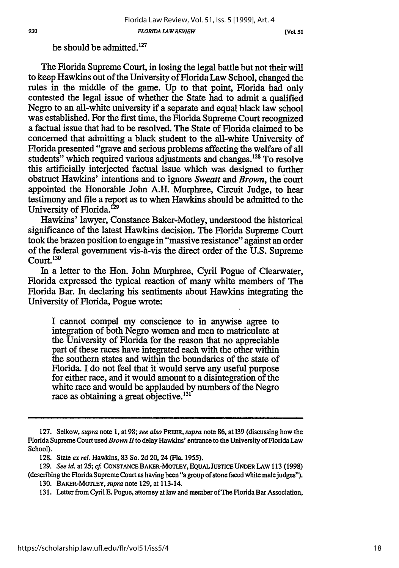### he should be admitted.<sup>127</sup>

The Florida Supreme Court, in losing the legal battle but not their will to keep Hawkins out of the University of Florida Law School, changed the rules in the middle of the game. Up to that point, Florida had only contested the legal issue of whether the State had to admit a qualified Negro to an all-white university if a separate and equal black law school was established. For the first time, the Florida Supreme Court recognized a factual issue that had to be resolved. The State of Florida claimed to be concerned that admitting a black student to the all-white University of Florida presented "grave and serious problems affecting the welfare of all students" which required various adjustments and changes.<sup>128</sup> To resolve this artificially interjected factual issue which was designed to further obstruct Hawkins' intentions and to ignore *Sweatt and Brown,* the court appointed the Honorable John A.H. Murphree, Circuit Judge, to hear testimony and file a report as to when Hawkins should be admitted to the University of Florida.<sup>129</sup>

Hawkins' lawyer, Constance Baker-Motley, understood the historical significance of the latest Hawkins decision. The Florida Supreme Court took the brazen position to engage in "massive resistance" against an order of the federal government vis-h-vis the direct order of the U.S. Supreme  $C$ ourt.  $130$ 

In a letter to the Hon. John Murphree, Cyril Pogue of Clearwater, Florida expressed the typical reaction of many white members of The Florida Bar. In declaring his sentiments about Hawkins integrating the University of Florida, Pogue wrote:

I cannot compel my conscience to in anywise agree to integration of both Negro women and men to matriculate at the University of Florida for the reason that no appreciable part of these races have integrated each with the other within the southern states and within the boundaries of the state of Florida. I do not feel that it would serve any useful purpose for either race, and it would amount to a disintegration of the white race and would be applauded by numbers of the Negro race as obtaining a great objective.<sup>131</sup>

<sup>127.</sup> Selkow, *supra* note **1,** at **98;** *see also PREER, supra* note **86,** at 139 (discussing how the Florida Supreme Court used *Brown 1* to delay Hawkins' entrance to the University of Florida Law School).

<sup>128.</sup> State *ex rel.* Hawkins, 83 So. **2d** 20,24 (Fla. **1955).**

<sup>129.</sup> *See* id at *25; cf* **CONSTANCE BAKER-MOTLEY, EQUALJUSTICE UNDER LAW 113** (1998) (describing the Florida Supreme Court as having been "a group of stone faced white male judges").

<sup>130.</sup> BAKER-MOTLEY, *supra* note **129,** at 113-14.

<sup>131.</sup> Letter from Cyril **E.** Pogue, attorney at law and member of The Florida Bar Association,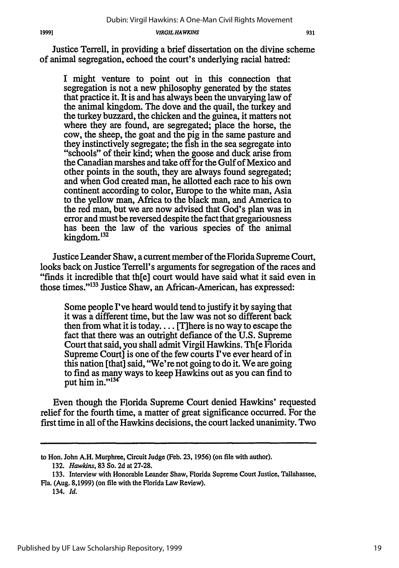931

Justice Terrell, in providing a brief dissertation on the divine scheme of animal segregation, echoed the court's underlying racial hatred:

I might venture to point out in this connection that segregation is not a new philosophy generated by the states that practice it. It is and has always been the unvaiying law of the animal kingdom. The dove and the quail, the turkey and the turkey buzzard, the chicken and the guinea, it matters not where they are found, are segregated; place the horse, the cow, the sheep, the goat and the pig in the same pasture and they instinctively segregate; the fish in the sea segregate into "schools" of their kind; when the goose and duck arise from the Canadian marshes and take off for the Gulf of Mexico and other points in the south, they are always found segregated; and when God created man, he allotted each race to his own continent according to color, Europe to the white man, Asia to the yellow man, Africa to the black man, and America to the red man, but we are now advised that God's plan was in error and must be reversed despite the fact that gregariousness has been the law of the various species of the animal kingdom.132

Justice Leander Shaw, a current member of the Florida Supreme Court, looks back on Justice Terrell's arguments for segregation of the races and "finds it incredible that th[e] court would have said what it said even in those times."<sup>133</sup> Justice Shaw, an African-American, has expressed:

Some people I've heard would tend to justify it by saying that it was a different time, but the law was not so different back then from what it is today.... [T] here is no way to escape the fact that there was an outright defiance of the U.S. Supreme Court that said, you shall admit Virgil Hawkins. Th[e Florida Supreme Court] is one of the few courts I've ever heard of in this nation [that] said, "We're not going to do it. We are going to find as many ways to keep Hawkins out as you can find to put him in." $134$ 

Even though the Florida Supreme Court denied Hawkins' requested relief for the fourth time, a matter of great significance occurred. For the first time in all of the Hawkins decisions, the court lacked unanimity. Two

to Hon. John A.H. Murphree, Circuit Judge (Feb. 23, 1956) (on file with author).

<sup>132.</sup> *Hawkins,* 83 So. 2d at 27-28.

<sup>133.</sup> Interview with Honorable Leander Shaw, Florida Supreme Court Justice, Tallahassee, Fla. (Aug. 8,1999) (on file with the Florida Law Review).

<sup>134.</sup> *Id.*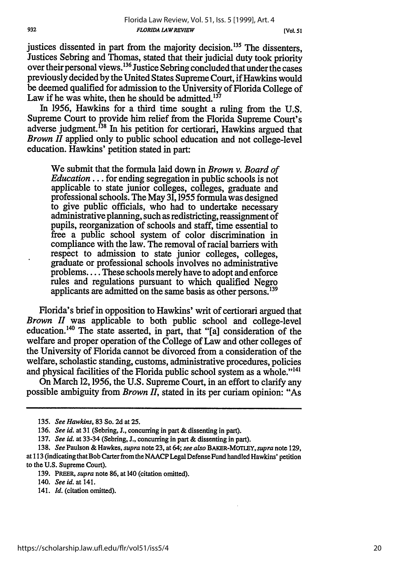justices dissented in part from the majority decision.<sup>135</sup> The dissenters, Justices Sebring and Thomas, stated that their judicial duty took priority over their personal views.136 Justice Sebring concluded that under the cases previously decided by the United States Supreme Court, if Hawkins would be deemed qualified for admission to the University of Florida College of Law if he was white, then he should be admitted.<sup>137</sup>

In 1956, Hawkins for a third time sought a ruling from the U.S. Supreme Court to provide him relief from the Florida Supreme Court's adverse judgment.<sup>138</sup> In his petition for certiorari, Hawkins argued that *Brown II* applied only to public school education and not college-level education. Hawkins' petition stated in part:

We submit that the formula laid down in *Brown v. Board of Education...* for ending segregation in public schools is not applicable to state junior colleges, colleges, graduate and professional schools. The May 31,1955 formula was designed to give public officials, who had to undertake necessary administrative planning, such as redistricting, reassignment of pupils, reorganization of schools and staff, time essential to free a public school system of color discrimination in compliance with the law. The removal of racial barriers with respect to admission to state junior colleges, colleges, graduate or professional schools involves no administrative problems.... These schools merely have to adopt and enforce rules and regulations pursuant to which qualified Negro applicants are admitted on the same basis as other persons.<sup>139</sup>

Florida's brief in opposition to Hawkins' writ of certiorari argued that *Brown II* was applicable to both public school and college-level education.<sup>140</sup> The state asserted, in part, that "[a] consideration of the welfare and proper operation of the College of Law and other colleges of the University of Florida cannot be divorced from a consideration of the welfare, scholastic standing, customs, administrative procedures, policies and physical facilities of the Florida public school system as a whole."<sup>141</sup>

On March 12,1956, the U.S. Supreme Court, in an effort to clarify any possible ambiguity from *Brown 11,* stated in its per curiam opinion: "As

- 140. *See id.* at 141.
- 141. *Id.* (citation omitted).

*<sup>135.</sup> See Hawkins,* 83 So. 2d at 25.

<sup>136.</sup> *See id.* at 31 (Sebring, **J.,** concurring in part & dissenting in part).

<sup>137.</sup> *See id.* at 33-34 (Sebring, **J.,** concurring in part & dissenting in part).

<sup>138.</sup> *See* Paulson & Hawkes, *supra* note 23, at 64; *see also* BAKER-MOTLEY, supra note 129, at 113 (indicating thatBob Carterfrom theNAACP Legal Defense Fund handled Hawkins' petition to the U.S. Supreme Court).

<sup>139.</sup> PREER, *supra* note 86, at 140 (citation omitted).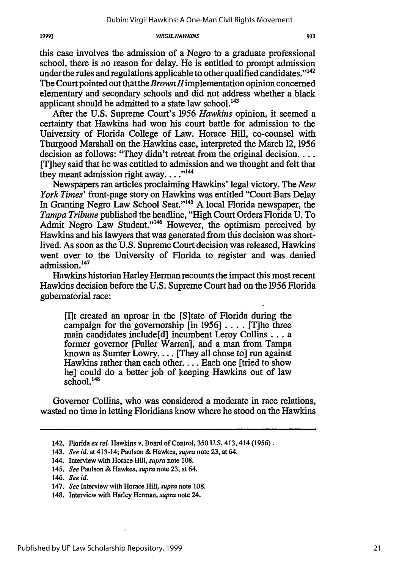this case involves the admission of a Negro to a graduate professional school, there is no reason for delay. He is entitled to prompt admission under the rules and regulations applicable to other qualified candidates."<sup>142</sup> The Court pointed out that the *Brown* Himplementation opinion concerned elementary and secondary schools and did not address whether a black applicant should be admitted to a state law school.<sup>143</sup>

After the U.S. Supreme Court's 1956 *Hawkins* opinion, it seemed a certainty that Hawkins had won his court battle for admission to the University of Florida College of Law. Horace Hill, co-counsel with Thurgood Marshall on the Hawkins case, interpreted the March 12, 1956 decision as follows: "They didn't retreat from the original decision... [T]hey said that he was entitled to admission and we thought and felt that they meant admission right away.... $^{144}$ 

Newspapers ran articles proclaiming Hawkins' legal victory. The *New York Times'* front-page story on Hawkins was entitled "Court Bars Delay In Granting Negro Law School Seat."'145 A local Florida newspaper, the *Tampa Tribune* published the headline, "High Court Orders Florida U. To Admit Negro Law Student."<sup>146</sup> However, the optimism perceived by Hawkins and his lawyers that was generated from this decision was shortlived. As soon as the U.S. Supreme Court decision was released, Hawkins went over to the University of Florida to register and was denied admission.<sup>147</sup>

Hawkins historian Harley Herman recounts the impact this most recent Hawkins decision before the U.S. Supreme Court had on the 1956 Florida gubernatorial race:

[1]t created an uproar in the [S]tate of Florida during the campaign for the governorship  $\lceil \text{in} \rceil 1956 \rceil$ ....  $\lceil \text{The three} \rceil$ main candidates include[d] incumbent Leroy Collins... a former governor [Fuller Warren], and a man from Tampa known as Sumter Lowry.... [They all chose to] run against Hawkins rather than each other... Each one [tried to show he] could do a better job of keeping Hawkins out of law school. $148$ 

Governor Collins, who was considered a moderate in race relations, wasted no time in letting Floridians know where he stood on the Hawkins

19991

<sup>142.</sup> Florida *exrel.* Hawkins v. Board of Control, 350 U.S. 413, 414 **(1956).**

<sup>143.</sup> *See id.* at 413-14; Paulson & Hawkes, *supra* note 23, at 64.

<sup>144.</sup> Interview with Horace Hill, *supra* note 108.

<sup>145.</sup> *See* Paulson & Hawkes, *supra* note 23, at 64.

<sup>146.</sup> *See id.*

<sup>147.</sup> *See* Interview with Horace Hill, *supra* note 108.

<sup>148.</sup> Interview with Harley Herman, *supra* note 24.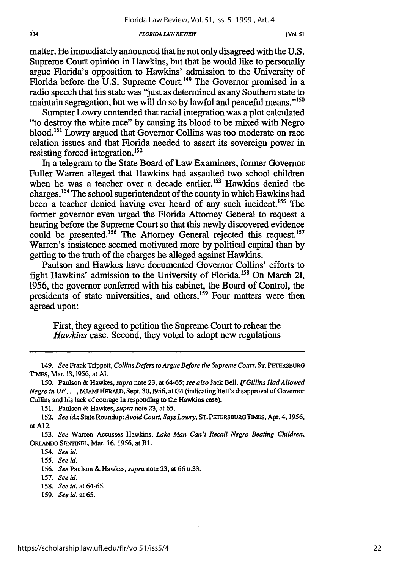#### *FLORIDA LAW REVIEW*

matter. He immediately announced that he not only disagreed with the **U.S.** Supreme Court opinion in Hawkins, but that he would like to personally argue Florida's opposition to Hawkins' admission to the University of Florida before the U.S. Supreme Court.<sup>149</sup> The Governor promised in a radio speech that his state was "just as determined as any Southern state to maintain segregation, but we will do so by lawful and peaceful means."<sup>150</sup>

Sumpter Lowry contended that racial integration was a plot calculated "to destroy the white race" by causing its blood to be mixed with Negro blood.151 Lowry argued that Governor Collins was too moderate on race relation issues and that Florida needed to assert its sovereign power in resisting forced integration.<sup>152</sup>

In a telegram to the State Board of Law Examiners, former Governor Fuller Warren alleged that Hawkins had assaulted two school children when he was a teacher over a decade earlier.<sup>153</sup> Hawkins denied the charges.<sup>154</sup> The school superintendent of the county in which Hawkins had been a teacher denied having ever heard of any such incident.<sup>155</sup> The former governor even urged the Florida Attorney General to request a hearing before the Supreme Court so that this newly discovered evidence could be presented.<sup>156</sup> The Attorney General rejected this request.<sup>157</sup> Warren's insistence seemed motivated more by political capital than by getting to the truth of the charges he alleged against Hawkins.

Paulson and Hawkes have documented Governor Collins' efforts to fight Hawkins' admission to the University of Florida.<sup>158</sup> On March 21, 1956, the governor conferred with his cabinet, the Board of Control, the presidents of state universities, and others.<sup>159</sup> Four matters were then agreed upon:

First, ihey agreed to petition the Supreme Court to rehear the *Hawkins* case. Second, they voted to adopt new regulations

159. *See id. at 65.*

<sup>149.</sup> *See* Frank Trippett, *Collins Defers to Argue Before the Supreme Court,* **ST.** PETERSBURG **TDIES,** Mar. 13,1956, at **Al.**

<sup>150.</sup> Paulson & Hawkes, *supra* note 23, at 64-65; *see also* Jack Bell, *If Gillins Had Allowed Negro in* **UF** .... MIAMI HERALD, Sept. 30,1956, at G4 (indicating Bell's disapproval of Governor Collins and his lack of courage in responding to the Hawkins case).

<sup>151.</sup> Paulson & Hawkes, *supra* note 23, at 65.

<sup>152.</sup> *See id.;* State Roundup: *Avoid Court, Says Lowry,* ST. **PETERSBURGTIMES,** Apr. 4,1956, at **A12.**

<sup>153.</sup> *See* Warren Accusses Hawkins, *Lake Man Can't Recall Negro Beating Children,* **ORLANDO SENTINEL, Mar. 16, 1956, at B1.** 

<sup>154.</sup> *See id.*

<sup>155.</sup> *See id.*

<sup>156.</sup> *See* Paulson & Hawkes, *supra* note **23,** at 66 n.33.

**<sup>157.</sup>** *See id.*

<sup>158.</sup> *See id.* at 64-65.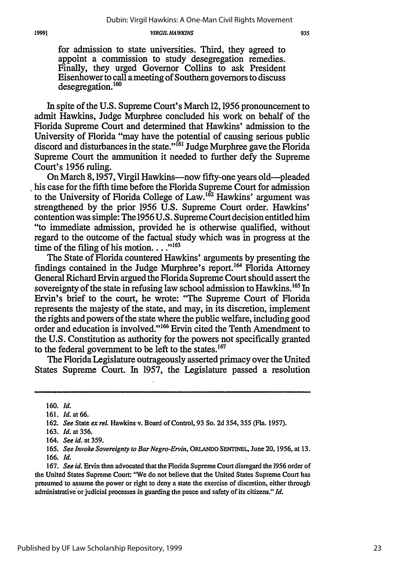for admission to state universities. Third, they agreed to appoint a commission to study desegregation remedies. Finally, they urged Governor Collins to ask President Eisenhower to call a meeting of Southern governors to discuss desegregation.<sup>160</sup>

In spite of the U.S. Supreme Court's March 12,1956 pronouncement to admit Hawkins, Judge Murphree concluded his work on behalf of the Florida Supreme Court and determined that Hawkins' admission to the University of Florida "may have the potential of causing serious public discord and disturbances in the state." $^{161}$  Judge Murphree gave the Florida Supreme Court the ammunition it needed to further defy the Supreme Court's 1956 ruling.

On March 8, 1957, Virgil Hawkins—now fifty-one years old—pleaded his case for the fifth time before the Florida Supreme Court for admission to the University of Florida College of Law.<sup>162</sup> Hawkins' argument was strengthened by the prior 1956 U.S. Supreme Court order. Hawkins' contention was simple: The 1956 U.S. Supreme Court decision entitled him "to immediate admission, provided he is otherwise qualified, without regard to the outcome of the factual study which was in progress at the time of the filing of his motion...."<sup>163</sup>

The State of Florida countered Hawkins' arguments by presenting the findings contained in the Judge Murphree's report.<sup>164</sup> Florida Attorney General Richard Ervin argued the Florida Supreme Court should assert the sovereignty of the state in refusing law school admission to Hawkins.<sup>165</sup> In Ervin's brief to the court, he wrote: 'The Supreme Court of Florida represents the majesty of the state, and may, in its discretion, implement the rights and powers of the state where the public welfare, including good order and education is involved."<sup>166</sup> Ervin cited the Tenth Amendment to the U.S. Constitution as authority for the powers not specifically granted to the federal government to be left to the states.<sup>167</sup>

The Florida Legislature outrageously asserted primacy over the United States Supreme Court. In 1957, the Legislature passed a resolution

<sup>160.</sup> *Id.*

<sup>161.</sup> *Id.* at 66.

<sup>162.</sup> *See* State *ex rel.* Hawkins v. Board of Control, 93 So. 2d 354, 355 (Fla. 1957).

<sup>163.</sup> *Id.* at 356.

<sup>164.</sup> *See id.* at 359.

<sup>165.</sup> *See Invoke Sovereignty to Bar Negro-Ervin,* **ORLANDO SENTINEL,** June 20, 1956, at 13. 166. *Id.*

<sup>167.</sup> *See id.* Ervin then advocated that the Florida Supreme Court disregard the 1956 order of the United States Supreme Court: "We do not believe that the United States Supreme Court has presumed to assume the power or right to deny a state the exercise of discretion, either through administrative or judicial processes in guarding the peace and safety of its citizens." *Id.*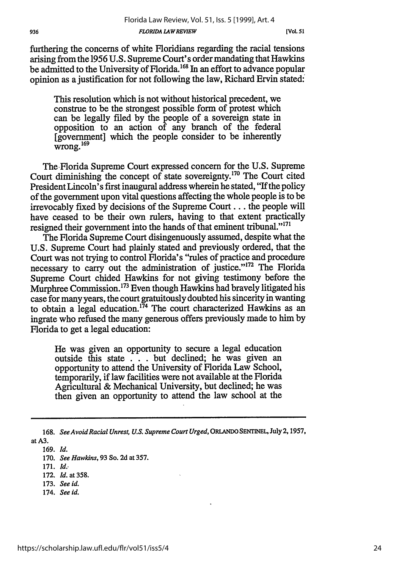Florida Law Review, Vol. 51, Iss. 5 [1999], Art. 4

furthering the concerns of white Floridians regarding the racial tensions arising from the 1956 U.S. Supreme Court's order mandating that Hawkins be admitted to the University of Florida.<sup>168</sup> In an effort to advance popular opinion as a justification for not following the law, Richard Ervin stated:'

*FLORIDA LAWREVIEW*

This resolution which is not without historical precedent, we construe to be the strongest possible form of protest which can be legally filed by the people of a sovereign state in opposition to an action of any branch of the federal [government] which the people consider to be inherently wrong. **<sup>169</sup>**

The Florida Supreme Court expressed concern for the U.S. Supreme Court diminishing the concept of state sovereignty. 170 The Court cited President Lincoln's first inaugural address wherein he stated, "If the policy of the government upon vital questions affecting the whole people is to be irrevocably fixed by decisions of the Supreme Court... the people will have ceased to be their own rulers, having to that extent practically resigned their government into the hands of that eminent tribunal."<sup>171</sup>

The Florida Supreme Court disingenuously assumed, despite what the U.S. Supreme Court had plainly stated and previously ordered, that the Court was not trying to control Florida's "rules of practice and procedure necessary to carry out the administration of justice."172 The Florida Supreme Court chided Hawkins for not giving testimony before the Murphree Commission.<sup>173</sup> Even though Hawkins had bravely litigated his case for many years, the court gratuitously doubted his sincerity in wanting to obtain a legal education.<sup>174</sup> The court characterized Hawkins as an ingrate who refused the many generous offers previously made to him by Florida to get a legal education:

He was given an opportunity to secure a legal education outside this state . . . but declined; he was given an opportunity to attend the University of Florida Law School, temporarily, if law facilities were not available at the Florida Agricultural & Mechanical University, but declined; he was then given an opportunity to attend the law school at the

169. *Id.*

171. *Id..*

- 172. *Id.* at 358.
- 173. *See id.*
- 174. *See id.*

<sup>168.</sup> *See Avoid Racial Unrest, U.S. Supreme Court Urged,* ORLANDO SENTINEL, July **2,** 1957, atA3.

<sup>170.</sup> *See Hawkins,* 93 So. **2d** at 357.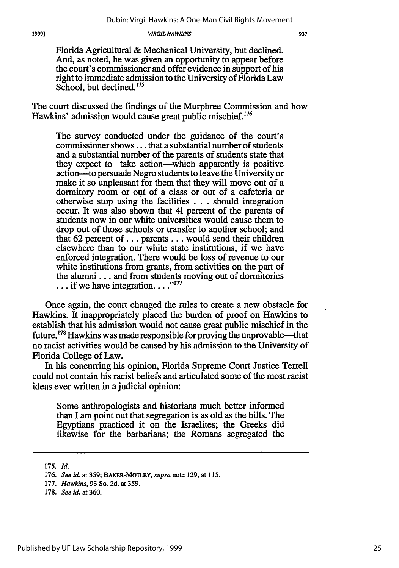Florida Agricultural & Mechanical University, but declined. And, as noted, he was given an opportunity to appear before the court's commissioner and offer evidence in support of his right to immediate admission to the University of Florida Law School, but declined.<sup>175</sup>

The court discussed the findings of the Murphree Commission and how Hawkins' admission would cause great public mischief.<sup>176</sup>

The survey conducted under the guidance of the court's commissioner shows... that a substantial number of students and a substantial number of the parents of students state that they expect to take action-which apparently is positive action-to persuade Negro students to leave the University or make it so unpleasant for them that they will move out of a dormitory room or out of a class or out of a cafeteria or otherwise stop using the facilities . **.** . should integration occur. It was also shown that 41 percent of the parents of students now in our white universities would cause them to drop out of those schools or transfer to another school; and that 62 percent of... parents.., would send their children elsewhere than to our white state institutions, if we have enforced integration. There would be loss of revenue to our white institutions from grants, from activities on the part of the alumni... and from students moving out of dormitories ... if we have integration....<sup>"177</sup>

Once again, the court changed the rules to create a new obstacle for Hawkins. It inappropriately placed the burden of proof on Hawkins to establish that his admission would not cause great public mischief in the future.<sup>178</sup> Hawkins was made responsible for proving the unprovable—that no racist activities would be caused by his admission to the University of Florida College of Law.

In his concurring his opinion, Florida Supreme Court Justice Terrell could not contain his racist beliefs and articulated some of the most racist ideas ever written in a judicial opinion:

Some anthropologists and historians much better informed than I am point out that segregation is as old as the hills. The Egyptians practiced it on the Israelites; the Greeks did likewise for the barbarians; the Romans segregated the

<sup>175.</sup> *Id.*

<sup>176.</sup> *See id.* at 359; BAKER-MOTLEY, *supra* note 129, at 115.

<sup>177.</sup> *Hawkins,* 93 So. 2d. at 359.

<sup>178.</sup> *See id.* at 360.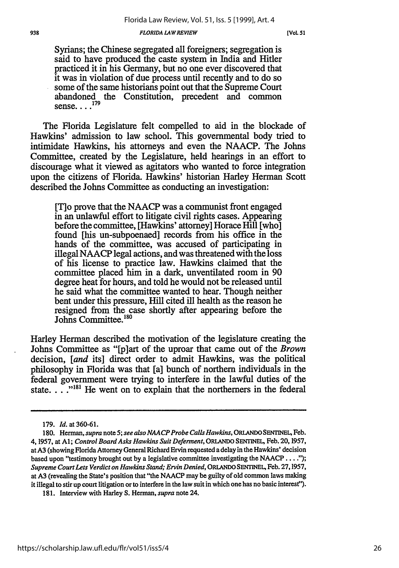#### **938** *FLORIDA LA W REVIEW* **[Vol. 51**

Syrians; the Chinese segregated all foreigners; segregation is said to have produced the caste system in India and Hitler practiced it in his Germany, but no one ever discovered that it was in violation of due process until recently and to do so some of the same historians point out that the Supreme Court abandoned the Constitution, precedent and common sense... $^{17}$ 

The Florida Legislature felt compelled to aid in the blockade of Hawkins' admission to law school. This governmental body tried to intimidate Hawkins, his attorneys and even the NAACP. The Johns Committee, created by the Legislature, held hearings in an effort to discourage what it viewed as agitators who wanted to force integration upon the citizens of Florida. Hawkins' historian Harley Herman Scott described the Johns Committee as conducting an investigation:

[T] o prove that the NAACP was a communist front engaged in an unlawful effort to litigate civil rights cases. Appearing before the committee, [Hawkins' attorney] Horace Hill [who] found [his un-subpoenaed] records from his office in the hands of the committee, was accused of participating in illegal NAACP legal actions, and was threatened with the loss of his license to practice law. Hawkins claimed that the committee placed him in a dark, unventilated room in 90 degree heat for hours, and told he would not be released until he said what the committee wanted to hear. Though neither bent under this pressure, Hill cited ill health as the reason he resigned from the case shortly after appearing before the Johns Committee.<sup>180</sup>

Harley Herman described the motivation of the legislature creating the Johns Committee as "[p]art of the uproar that came out of the *Brown* decision, [*and* its] direct order to admit Hawkins, was the political philosophy in Florida was that [a] bunch of northern individuals in the federal government were trying to interfere in the lawful duties of the state. . .<sup>"181</sup> He went on to explain that the northerners in the federal

<sup>179.</sup> *Id.* at 360-61.

**<sup>180.</sup>** Herman, *supra* note **5;** *see also NAACP Probe Calls Hawkins,* ORLANDO **SENTINEL,** Feb. 4, 1957, at **Al;** *Control Board Asks Hawkins Suit Deferment,* **ORLANDO SENTINEL,** Feb. **20,** 1957, at A3 (showing Florida Attorney General Richard Ervin requested a delay in the Hawkins' decision based upon "testimony brought out by a legislative committee investigating the **NAACP ....");** *Supreme Court Lets Verdict on Hawkins Stand; Ervin Denied,* **ORLANDO SENTINEL,** Feb. 27,1957, at **A3** (revealing the State's position that "the NAACP may be guilty of old common laws making it illegal to stir up court litigation or to interfere in the law suit in which one has no basic interest").

<sup>181.</sup> Interview with Harley **S.** Herman, *supra* note 24.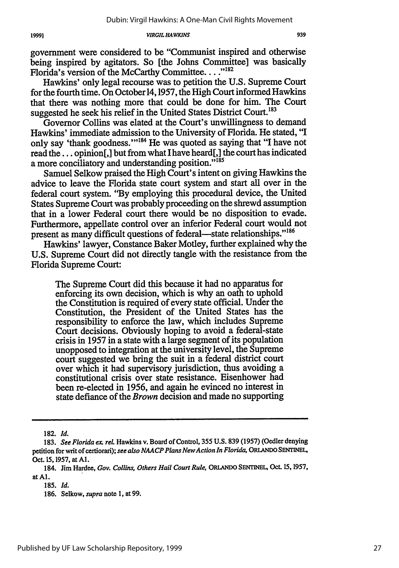939

*VIRGIL HAWKINS*

government were considered to be "Communist inspired and otherwise being inspired by agitators. So [the Johns Committee] was basically Florida's version of the McCarthy Committee...."<sup>182</sup>

Hawkins' only legal recourse was to petition the U.S. Supreme Court for the fourth time. On October 14,1957, the High Court informed Hawkins that there was nothing more that could be done for him. The Court suggested he seek his relief in the United States District Court.<sup>183</sup>

Governor Collins was elated at the Court's unwillingness to demand Hawkins' immediate admission to the University of Florida. He stated, "I only say 'thank goodness."<sup>184</sup> He was quoted as saying that "I have not read the... opinion[,] but from what I have heard[,] the court has indicated a more conciliatory and understanding position."<sup>185</sup>

Samuel Selkow praised the High Court's intent on giving Hawkins the advice to leave the Florida state court system and start all over in the federal court system. "By employing this procedural device, the United States Supreme Court was probably proceeding on the shrewd assumption that in a lower Federal court there would be no disposition to evade. Furthermore, appellate control over an inferior Federal court would not present as many difficult questions of federal-state relationships."<sup>186</sup>

Hawkins' lawyer, Constance Baker Motley, further explained why the U.S. Supreme Court did not directly tangle with the resistance from the Florida Supreme Court:

The Supreme Court did this because it had no apparatus for enforcing its own decision, which is why an oath to uphold the Constitution is required of every state official. Under the Constitution, the President of the United States has the responsibility to enforce the law, which includes Supreme Court decisions. Obviously hoping to avoid a federal-state crisis in 1957 in a state with a large segment of its population unopposed to integration at the university level, the Supreme court suggested we bring the suit in a federal district court over which it had supervisory jurisdiction, thus avoiding a constitutional crisis over state resistance. Eisenhower had been re-elected in 1956, and again he evinced no interest in state defiance of the *Brown* decision and made no supporting

182. *Id.*

<sup>183.</sup> *See Florida ex. rel* Hawkins v. Board of Control, 355 U.S. 839 (1957) (Oedler denying petition for writ of certiorari); *see also NAACP Plans NewAction In Florida,* **ORLANDO SENTINEL,** Oct. 15, 1957, at **Al.**

<sup>184.</sup> Jim Hardee, *Gov. Collins, Others Hail Court Rule,* **ORLANDO SENTINEL,** Oct. 15, 1957, at **Al.**

**<sup>185.</sup>** Id.

<sup>186.</sup> Selkow, *supra* note 1, at 99.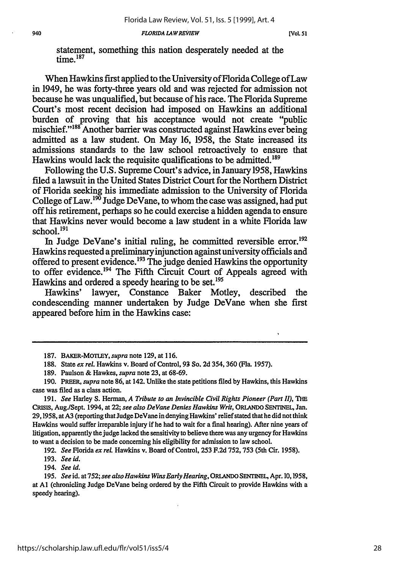statement, something this nation desperately needed at the time.<sup>187</sup>

When Hawkins first applied to the University of Florida College of Law in 1949, he was forty-three years old and was rejected for admission not because he was unqualified, but because of his race. The Florida Supreme Court's most recent decision had imposed on Hawkins an additional burden of proving that his acceptance would not create "public mischief."<sup>188</sup> Another barrier was constructed against Hawkins ever being admitted as a law student. On May 16, 1958, the State increased its admissions standards to the law school retroactively to ensure that Hawkins would lack the requisite qualifications to **be** admitted. <sup>89</sup>

Following the U.S. Supreme Court's advice, in January 1958, Hawkins filed a lawsuit in the United States District Court for the Northern District of Florida seeking his immediate admission to the University of Florida College of Law.<sup>190</sup> Judge DeVane, to whom the case was assigned, had put off his retirement, perhaps so he could exercise a hidden agenda to ensure that Hawkins never would become a law student in a white Florida law school.<sup>191</sup>

In Judge DeVane's initial ruling, he committed reversible error.<sup>192</sup> Hawkins requested apreliminary injunction against university officials and offered to present evidence.<sup>193</sup> The judge denied Hawkins the opportunity to offer evidence.194 The Fifth Circuit Court of Appeals agreed with Hawkins and ordered a speedy hearing to be set.<sup>195</sup>

Hawkins' lawyer, Constance Baker Motley, described the condescending manner undertaken by Judge DeVane when she first appeared before him in the Hawkins case:

191. *See* Harley S. Herman, *A Tribute to an Invincible Civil Rights Pioneer (Part II), THE* **CRISIS,** Aug./Sept. 1994, at 22; *see also DeVane Denies Hawkins Writ,* **ORLANDO SENTINEL,** Jan. 29,1958, at A3 (reporting that Judge DeVane in denying Hawkins' relief stated that he did not think Hawkins would suffer irreparable injury if he had to wait for a final hearing). After nine years of litigation, apparently the judge lacked the sensitivity to believe there was any urgency for Hawkins to want a decision to be made concerning his eligibility for admission to law school.

192. *See* Florida *ex rel.* Hawkins v. Board of Control, **253** F.2d 752, 753 (5th Cir. 1958).

193. See id.

194. *See id.*

195. *See* id. at 752; *see also Hawkins Wins Early Hearing,* ORLNDO SENTINEL, Apr. 10,1958, at **Al** (chronicling Judge DeVane being ordered by the Fifth Circuit to provide Hawkins with a speedy hearing).

<sup>187.</sup> BAKER-MOTLEY, *supra* note 129, at 116.

<sup>188.</sup> State *ex* rel. Hawkins v. Board of Control, 93 So. **2d** 354,360 (Fla. 1957).

<sup>189.</sup> Paulson & Hawkes, *supra* note **23,** at 68-69.

<sup>190.</sup> PREER, *supra* note 86, at 142. Unlike the state petitions filed by Hawkins, this Hawkins case was filed as a class action.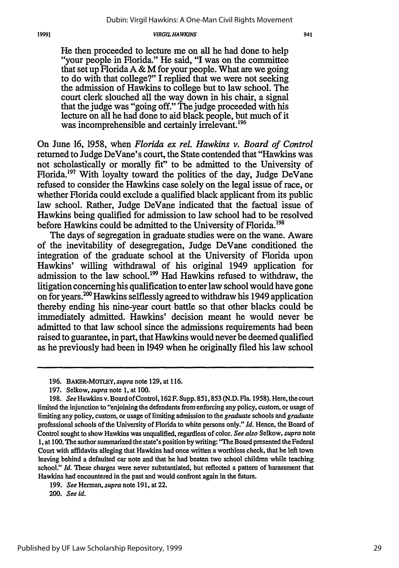He then proceeded to lecture me on all he had done to help "your people in Florida." He said, "I was on the committee that set up Florida A & M for your people. What are we going to do with that college?" I replied that we were not seeking the admission of Hawkins to college but to law school. The court clerk slouched all the way down in his chair, a signal that the judge was "going off." The judge proceeded with his lecture on all he had done to aid black people, but much of it was incomprehensible and certainly irrelevant.<sup>196</sup>

On June **16,** 1958, when *Florida ex rel. Hawkins v. Board of Control* returned to Judge DeVane's court, the State contended that "Hawkins was not scholastically or morally fit" to be admitted to the University of Florida.197 With loyalty toward the politics of the day, Judge DeVane refused to consider the Hawkins case solely on the legal issue of race, or whether Florida could exclude a qualified black applicant from its public law school. Rather, Judge DeVane indicated that the factual issue of Hawkins being qualified for admission to law school had to be resolved before Hawkins could be admitted to the University of Florida.<sup>198</sup>

The days of segregation in graduate studies were on the wane. Aware of the inevitability of desegregation, Judge DeVane conditioned the integration of the graduate school at the University of Florida upon Hawkins' willing withdrawal of his original 1949 application for admission to the law school.<sup>199</sup> Had Hawkins refused to withdraw, the litigation concerning his qualification to enter law school would have gone on for years.<sup>200</sup> Hawkins selflessly agreed to withdraw his 1949 application thereby ending his nine-year court battle so that other blacks could be immediately admitted. Hawkins' decision meant he would never be admitted to that law school since the admissions requirements had been raised to guarantee, in part, that Hawkins would never be deemed qualified as he previously had been in 1949 when he originally filed his law school

<sup>196.</sup> BAKER-MOTLEY, *supra* note 129, at 116.

<sup>197.</sup> Selkow, *supra* note 1, at 100.

*<sup>198.</sup> See* Hawkins v. Board of Control, 162 F. Supp. 851,853 **(N.D.** Fla. 1958). Here, the court limited the injunction to "enjoining the defendants from enforcing any policy, custom, or usage of limiting any policy, custom, or usage of limiting admission to the *graduate* schools and *graduate* professional schools of the University of Florida to white persons only." *Id.* Hence, the Board of Control sought to show Hawkins was unqualified, regardless of color. *See also* Selkow, *supra* note 1, at 100. The author summarized the state's position **by** writing: "The Board presented the Federal Court with affidavits alleging that Hawkins had once written a worthless check, that he left town leaving behind a defaulted car note and that he had beaten two school children while teaching school." *Id. These* charges were never substantiated, but reflected a pattern of harassment that Hawkins had encountered in the past and would confront again in the future.

<sup>199.</sup> *See* Herman, *supra* note 191, at 22.

*<sup>200.</sup> See id.*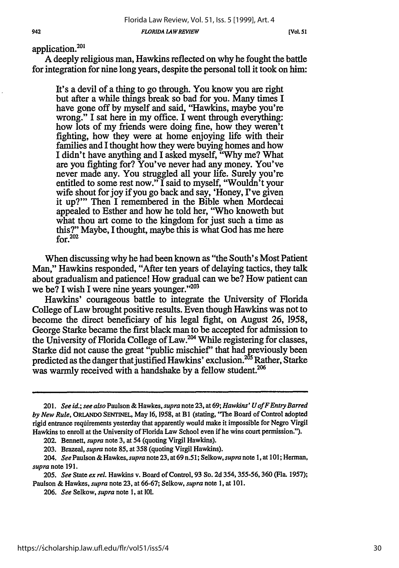942

application.<sup>201</sup>

A deeply religious man, Hawkins reflected on why he fought the battle for integration for nine long years, despite the personal toll it took on him:

It's a devil of a thing to go through. You know you are right but after a while things break so bad for you. Many times I have gone off by myself and said, "Hawkins, maybe you're wrong." I sat here in my office. I went through everything: how lots of my friends were doing fine, how they weren't fighting, how they were at home enjoying life with their families and I thought how they were buying homes and how I didn't have anything and I asked myself, "Why me? What are you fighting for? You've never had any money. You've never made any. You struggled all your life. Surely you're entitled to some rest now." I said to myself, "Wouldn't your wife shout for joy if you go back and say, 'Honey, I've given it up?"' Then I remembered in the Bible when Mordecai appealed to Esther and how he told her, "Who knoweth but what thou art come to the kingdom for just such a time as this?" Maybe, I thought, maybe this is what God has me here for. $202$ 

When discussing why he had been known as "the South's Most Patient Man," Hawkins responded, "After ten years of delaying tactics, they talk about gradualism and patience! How gradual can we be? How patient can we be? I wish I were nine years younger."<sup>203</sup>

Hawkins' courageous battle to integrate the University of Florida College of Law brought positive results. Even though Hawkins was not to become the direct beneficiary of his legal fight, on August 26, 1958, George Starke became the first black man to be accepted for admission to the University of Florida College of Law.<sup>204</sup> While registering for classes, Starke did not cause the great "public mischief' that had previously been predicted as the danger that justified Hawkins' exclusion.  $2^{55}$  Rather, Starke predicted as the danger that justified HawKins exclusion. Rad<br>was warmly received with a handshake by a fellow student.<sup>206</sup>

<sup>201.</sup> *See id.; see also* Paulson & Hawkes, *supra* note 23, at **69;** *Hawkins' UofFEntry Barred by New Rule,* ORLANDO **SENTINEL,** May 16, 1958, at B1 (stating, "The Board of Control adopted rigid entrance requirements yesterday that apparently would make it impossible for Negro Virgil Hawkins to enroll at the University of Florida Law School even if he wins court permission.").

<sup>202.</sup> Bennett, *supra* note 3, at 54 (quoting Virgil Hawkins).

<sup>203.</sup> Brazeal, *supra* note **85,** at 358 (quoting Virgil Hawkins).

*<sup>204.</sup> See* Paulson& Hawkes, *supra* note 23, at69 n.51; Selkow, *supra* note 1, at 101; Herman, *supra* note 191.

<sup>205.</sup> *See* State *ex rel* Hawkins v. Board of Control, 93 So. 2d **354,355-56,360** (Fla. 1957); Paulson & Hawkes, *supra* note 23, at 66-67; Selkow, *supra* note 1, at 101.

<sup>206.</sup> *See* Selkow, *supra* note 1, at 101.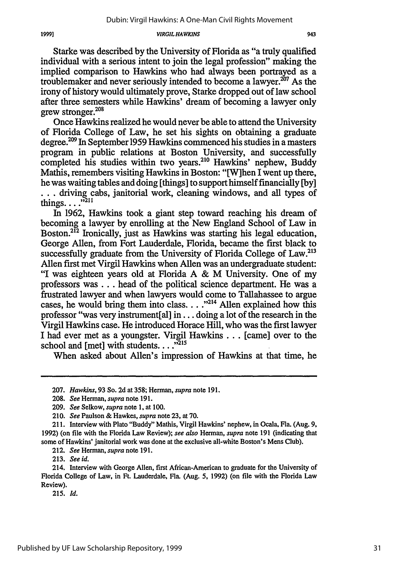943

Starke was described by the University of Florida as "a truly qualified individual with a serious intent to join the legal profession" making the implied comparison to Hawkins who had always been portrayed as a troublemaker and never seriously intended to become a lawyer.<sup>207</sup> As the irony of history would ultimately prove, Starke dropped out of law school after three semesters while Hawkins' dream of becoming a lawyer only grew stronger. $^{208}$ 

Once Hawkins realized he would never be able to attend the University of Florida College of Law, he set his sights on obtaining a graduate degree.2° In September 1959 Hawkins commenced his studies in a masters program in public relations at Boston University, and successfully completed his studies within two years.<sup>210</sup> Hawkins' nephew, Buddy Mathis, remembers visiting Hawkins in Boston: "[W]hen I went up there, he was waiting tables and doing [things] to support himself financially [by] **...** driving cabs, janitorial work, cleaning windows, and all types of things....<sup> $3211$ </sup>

In 1962, Hawkins took a giant step toward reaching his dream of becoming a lawyer by enrolling at the New England School of Law in Boston.<sup>212</sup> Ironically, just as Hawkins was starting his legal education, George Allen, from Fort Lauderdale, Florida, became the first black to successfully graduate from the University of Florida College of Law.<sup>213</sup> Allen first met Virgil Hawkins when Allen was an undergraduate student: "I was eighteen years old at Florida A & M University. One of my professors was **...** head of the political science department. He was a frustrated lawyer and when lawyers would come to Tallahassee to argue cases, he would bring them into class. . . .<sup>1214</sup> Allen explained how this professor "was very instrument[al] in... doing a lot of the research in the Virgil Hawkins case. He introduced Horace Hill, who was the first lawyer I had ever met as a youngster. Virgil Hawkins... [came] over to the school and [met] with students. . . .<sup>5215</sup>

When asked about Allen's impression of Hawkins at that time, he

213. *See id.*

215. *Id.*

<sup>207.</sup> *Hawkins,* 93 So. 2d at 358; Herman, *supra* note 191.

<sup>208.</sup> *See* Herman, *supra* note 191.

*<sup>209.</sup> See* Selkow, supra note 1, at **100.**

<sup>210.</sup> *See* Paulson **&** Hawkes, *supra* note 23, at 70.

<sup>211.</sup> Interview with Plato "Buddy" Mathis, Virgil Hawkins' nephew, in Ocala, Fla. (Aug. **9,** 1992) (on file with the Florida Law Review); *see also* Herman, *supra* note 191 (indicating that some of Hawkins' janitorial work was done at the exclusive all-white Boston's Mens Club).

<sup>212.</sup> *See* Herman, *supra* note 191.

<sup>214.</sup> Interview with George Allen, first African-American to graduate for the University of Florida College of Law, in Ft. Lauderdale, Fla. (Aug. 5, 1992) (on file with the Florida Law Review).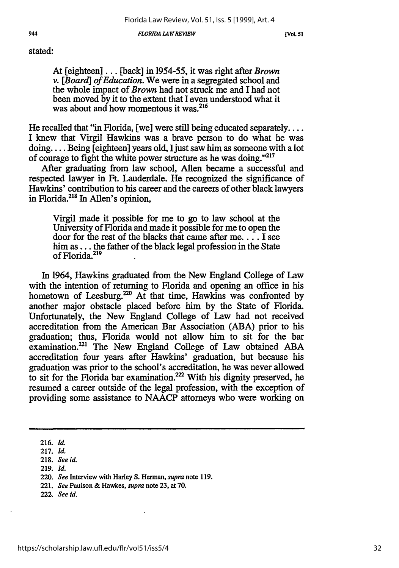*FLORIDA LAWREVIEW*

**[VoL. 51**

### stated:

At [eighteen]... [back] in 1954-55, it was right after *Brown v. [Board] of Education.* We were in a segregated school and the whole impact of *Brown* had not struck me and I had not been moved by it to the extent that I even understood what it was about and how momentous it was.<sup>216</sup>

He recalled that "in Florida, [we] were still being educated separately.... I knew that Virgil Hawkins was a brave person to do what he was doing.... Being [eighteen] years old, I just saw him as someone with a lot of courage to fight the white power structure as he was doing."<sup>217</sup>

After graduating from law school, Allen became a successful and respected lawyer in Ft. Lauderdale. He recognized the significance of Hawkins' contribution to his career and the careers of other black lawyers in Florida.215 In Allen's opinion,

Virgil made it possible for me to go to law school at the University of Florida and made it possible for me to open the door for the rest of the blacks that came after me.... I see him as... the father of the black legal profession in the State of Florida.<sup>219</sup>

In 1964, Hawkins graduated from the New England College of Law with the intention of returning to Florida and opening an office in his hometown of Leesburg.<sup>220</sup> At that time, Hawkins was confronted by another major obstacle placed before him by the State of Florida. Unfortunately, the New England College of Law had not received accreditation from the American Bar Association (ABA) prior to his graduation; thus, Florida would not allow him to sit for the bar examination.<sup>221</sup> The New England College of Law obtained ABA accreditation four years after Hawkins' graduation, but because his graduation was prior to the school's accreditation, he was never allowed to sit for the Florida bar examination.<sup>222</sup> With his dignity preserved, he resumed a career outside of the legal profession, with the exception of providing some assistance to NAACP attorneys who were working on

**219.** *Id.*

**<sup>216.</sup>** *Id.*

**<sup>217.</sup>** *Id.*

**<sup>218.</sup>** *See id.*

**<sup>220.</sup>** *See* Interview with **Harley S.** Herman, *supra* **note 119.**

<sup>221.</sup> *See* Paulson **&** Hawkes, *supra* note **23,** at **70.**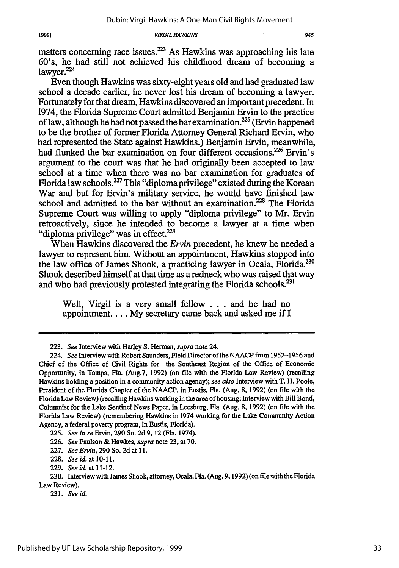945

matters concerning race issues. $2^{23}$  As Hawkins was approaching his late 60's, he had still not achieved his childhood dream of becoming a lawyer.<sup>224</sup>

Even though Hawkins was sixty-eight years old and had graduated law school a decade earlier, he never lost his dream of becoming a lawyer. Fortunately for that dream, Hawkins discovered an important precedent. In 1974, the Florida Supreme Court admitted Benjamin Ervin to the practice of law, although he had not passed the bar examination.<sup>225</sup> (Ervin happened to be the brother of former Florida Attorney General Richard Ervin, who had represented the State against Hawkins.) Benjamin Ervin, meanwhile, had flunked the bar examination on four different occasions.<sup>226</sup> Ervin's argument to the court was that he had originally been accepted to law school at a time when there was no bar examination for graduates of Florida law schools.<sup>227</sup> This "diploma privilege" existed during the Korean War and but for Ervin's military service, he would have finished law school and admitted to the bar without an examination.<sup>228</sup> The Florida Supreme Court was willing to apply "diploma privilege" to Mr. Ervin retroactively, since he intended to become a lawyer at a time when "diploma privilege" was in effect.<sup>229</sup>

When Hawkins discovered the *Ervin* precedent, he knew he needed a lawyer to represent him. Without an appointment, Hawkins stopped into the law office of James Shook, a practicing lawyer in Ocala, Florida.230 Shook described himself at that time as a redneck who was raised that way and who had previously protested integrating the Florida schools.<sup>231</sup>

Well, Virgil is a very small fellow . **.** . and he had no appointment.... My secretary came back and asked me if I

**<sup>223.</sup>** *See* Interview with Harley **S.** Herman, *supra* note 24.

<sup>224.</sup> *See* Interview with Robert Saunders, Field Director of the NAACP from 1952-1956 and Chief of the Office of Civil Rights for the Southeast Region of the Office of Economic Opportunity, in Tampa, Fla. (Aug.7, **1992) (on** file with the Florida Law Review) (recalling Hawkins holding a position in a community action agency); *see also* Interview with T. H. Poole, President of the Florida Chapter of the NAACP, in Eustis, Fla. (Aug. 8, 1992) (on file with the Florida Law Review) (recalling Hawkins working in the area of housing; Interview with Bill Bond, Columnist for the Lake Sentinel News Paper, in Leesburg, Fla. (Aug. 8, 1992) (on file with the Florida Law Review) (remembering Hawkins in 1974 working for the Lake Community Action Agency, a federal poverty program, in Eustis, Florida).

<sup>225.</sup> *See In re* Ervin, **290** So. 2d 9, 12 (Fla. 1974).

<sup>226.</sup> *See* Paulson & Hawkes, *supra* note **23,** at 70.

<sup>227.</sup> *See Ervin,* **290** So. 2d at 11.

<sup>228.</sup> *See id.* at 10-11.

<sup>229.</sup> *See id.* at 11-12.

<sup>230.</sup> Interview with James Shook, attorney, Ocala, Fla. (Aug. 9,1992) (on file with the Florida Law Review).

<sup>231.</sup> *See id.*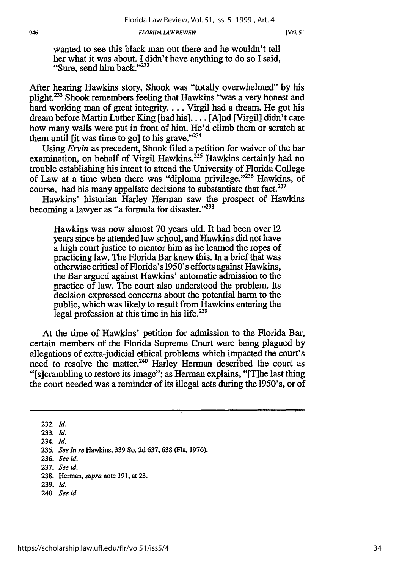#### *FLORIDA LAW REVIEW*

wanted to see this black man out there and he wouldn't tell her what it was about. I didn't have anything to do so I said, "Sure, send him back." $232$ 

After hearing Hawkins story, Shook was "totally overwhelmed" by his plight.233 Shook remembers feeling that Hawkins "was a very honest and hard working man of great integrity.... Virgil had a dream. He got his dream before Martin Luther King [had his].... [A]nd [Virgil] didn't care how many walls were put in front of him. He'd climb them or scratch at them until [it was time to go] to his grave."<sup>234</sup>

Using *Ervin* as precedent, Shook filed a petition for waiver of the bar examination, on behalf of Virgil Hawkins.<sup>235</sup> Hawkins certainly had no trouble establishing his intent to attend the University of Florida College of Law at a time when there was "diploma privilege."<sup>236</sup> Hawkins, of course, had his many appellate decisions to substantiate that fact.<sup>237</sup>

Hawkins' historian Harley Herman saw the prospect of Hawkins becoming a lawyer as "a formula for disaster."<sup>238</sup>

Hawkins was now almost 70 years old. It had been over 12 years since he attended law school, and Hawkins did not have a high court justice to mentor him as he learned the ropes of practicing law. The Florida Bar knew this. In a brief that was otherwise critical of Florida's 1950's efforts against Hawkins, the Bar argued against Hawkins' automatic admission to the practice of law. The court also understood the problem. Its decision expressed concerns about the potential harm to the public, which was likely to result from Hawkins entering the legal profession at this time in his life.<sup>239</sup>

At the time of Hawkins' petition for admission to the Florida Bar, certain members of the Florida Supreme Court were being plagued by allegations of extra-judicial ethical problems which impacted the court's need to resolve the matter.<sup>240</sup> Harley Herman described the court as "[s]crambling to restore its image"; as Herman explains, "[T]he last thing the court needed was a reminder of its illegal acts during the 1950's, or of

<sup>232.</sup> *Id.*

**<sup>233.</sup>** *Id.*

<sup>234.</sup> *Id.*

**<sup>235.</sup>** *See In re* Hawkins, 339 So. 2d 637, 638 (Fla. 1976).

<sup>236.</sup> *See id.*

<sup>237.</sup> *See id.*

<sup>238.</sup> Herman, *supra* note 191, at 23.

<sup>239.</sup> *Id.*

<sup>240.</sup> *See id.*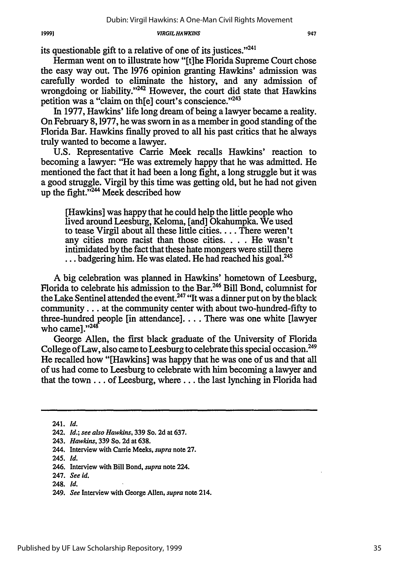its questionable gift to a relative of one of its justices."<sup>241</sup>

Herman went on to illustrate how "[tihe Florida Supreme Court chose the easy way out. The 1976 opinion granting Hawkins' admission was carefully worded to eliminate the history, and any admission of wrongdoing or liability." $242$  However, the court did state that Hawkins petition was a "claim on th[e] court's conscience."<sup>243</sup>

In 1977, Hawkins' life long dream of being a lawyer became a reality. On February 8,1977, he was sworn in as a member in good standing of the Florida Bar. Hawkins finally proved to all his past critics that he always truly wanted to become a lawyer.

U.S. Representative Carrie Meek recalls Hawkins' reaction to becoming a lawyer: "He was extremely happy that he was admitted. He mentioned the fact that it had been a long fight, a long struggle but it was a good struggle. Virgil by this time was getting old, but he had not given up the fight."<sup>244</sup> Meek described how

[Hawkins] was happy that he could help the little people who lived around Leesburg, Keloma, [and] Okahumpka. We used to tease Virgil about all these little cities .... There weren't any cities more racist than those cities. . . . He wasn't intimidated by the fact that these hate mongers were still there ... badgering him. He was elated. He had reached his goal.<sup>245</sup>

A big celebration was planned in Hawkins' hometown of Leesburg, Florida to celebrate his admission to the Bar.246 Bill Bond, columnist for the Lake Sentinel attended the event.<sup>247</sup> "It was a dinner put on by the black community... at the community center with about two-hundred-fifty to three-hundred people [in attendance].... There was one white [lawyer who came] **. '2**

George Allen, the first black graduate of the University of Florida College of Law, also came to Leesburg to celebrate this special occasion. <sup>249</sup> He recalled how "[Hawkins] was happy that he was one of us and that all of us had come to Leesburg to celebrate with him becoming a lawyer and that the town.., of Leesburg, where.., the last lynching in Florida had

245. *Id.*

247. *See id.*

19991

<sup>241.</sup> *Id.*

<sup>242.</sup> *Id.; see also Hawkins,* **339** So. **2d** at **637.**

<sup>243.</sup> *Hawkins,* **339** So. **2d** at **638.**

<sup>244.</sup> Interview with Carrie Meeks, *supra* note **27.**

<sup>246.</sup> Interview with Bill Bond, *supra* note 224.

<sup>248.</sup> *Id.*

<sup>249.</sup> *See* Interview with George Allen, *supra* note 214.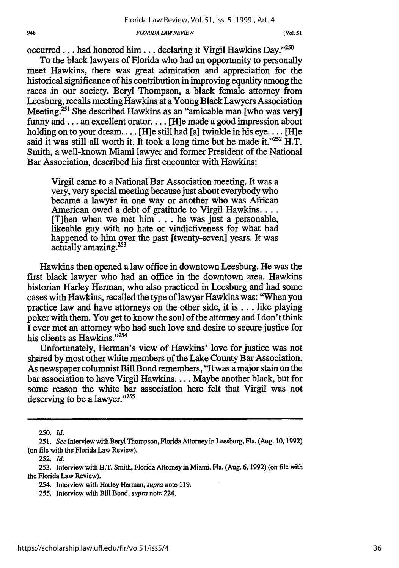#### **948** *FLORIDA LA WREVIEW* **[Vol.** *51*

occurred... had honored him... declaring it Virgil Hawkins Day."<sup>250</sup>

To the black lawyers of Florida who had an opportunity to personally meet Hawkins, there was great admiration and appreciation for the historical significance of his contribution in improving equality among the races in our society. Beryl Thompson, a black female attorney from Leesburg, recalls meeting Hawkins at a Young Black Lawyers Association Meeting.<sup>251</sup> She described Hawkins as an "amicable man [who was very] funny and.., an excellent orator.... [Hie made a good impression about holding on to your dream.... [H]e still had [a] twinkle in his eye.... [H]e said it was still all worth it. It took a long time but he made it." $252$  H.T. Smith, a well-known Miami lawyer and former President of the National Bar Association, described his first encounter with Hawkins:

Virgil came to a National Bar Association meeting. It was a very, very special meeting because just about everybody who became a lawyer in one way or another who was African American owed a debt of gratitude to Virgil Hawkins.... [T]hen when we met him.., he was just a personable, likeable guy with no hate or vindictiveness for what had happened to him over the past [twenty-seven] years. It was actually amazing.<sup>253</sup>

Hawkins then opened a law office in downtown Leesburg. He was the first black lawyer who had an office in the downtown area. Hawkins historian Harley Herman, who also practiced in Leesburg and had some cases with Hawkins, recalled the type of lawyer Hawkins was: "When you practice law and have attorneys on the other side, it is... like playing poker with them. You get to know the soul of the attorney and I don't think I ever met an attorney who had such love and desire to secure justice for his clients as Hawkins."254

Unfortunately, Herman's view of Hawkins' love for justice was not shared by most other white members of the Lake County Bar Association. As newspaper columnist Bill Bond remembers, "It was a major stain on the bar association to have Virgil Hawkins.... Maybe another black, but for some reason the white bar association here felt that Virgil was not deserving to be a lawyer."<sup>255</sup>

250. *Id.*

252. *Id.*

**253.** Interview with H.T. Smith, Florida Attorney in Miami, Fla. (Aug. 6, 1992) (on file with the Florida Law Review).

254. Interview with Harley Herman, *supra* note 119.

255. Interview with Bill Bond, *supra* note 224.

*<sup>251.</sup> See* Interview with Beryl Thompson, Florida Attorney in Leesburg, Fla. (Aug. 10, 1992) (on file with the Florida Law Review).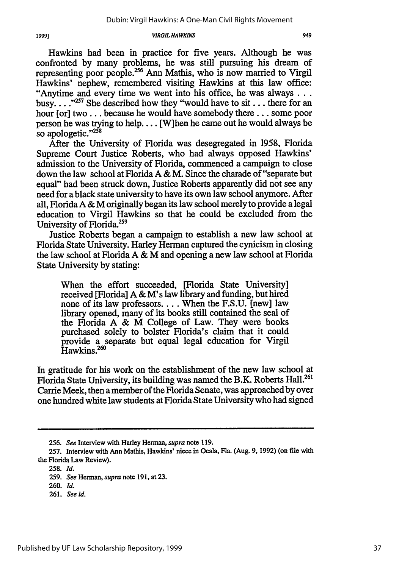Hawkins had been in practice for five years. Although he was confronted by many problems, he was still pursuing his dream of representing poor people.<sup>256</sup> Ann Mathis, who is now married to Virgil Hawkins' nephew, remembered visiting Hawkins at this law office: "Anytime and every time we went into his office, he was always... busy....<sup>"257</sup> She described how they "would have to sit... there for an hour [or] two... because he would have somebody there... some poor person he was trying to help.... [W]hen he came out he would always be so apologetic."<sup>258</sup>

After the University of Florida was desegregated in 1958, Florida Supreme Court Justice Roberts, who had always opposed Hawkins' admission to the University of Florida, commenced a campaign to close down the law school at Florida A & M. Since the charade of "separate but equal" had been struck down, Justice Roberts apparently did not see any need for a black state university to have its own law school anymore. After all, Florida A & M originally began its law school merely to provide a legal education to Virgil Hawkins so that he could be excluded from the University of Florida.<sup>259</sup>

Justice Roberts began a campaign to establish a new law school at Florida State University. Harley Herman captured the cynicism in closing the law school at Florida A & M and opening a new law school at Florida State University by stating:

When the effort succeeded, [Florida State University] received [Florida] A & M's law library and funding, but hired none of its law professors.... When the F.S.U. [new] law library opened, many of its books still contained the seal of the Florida A & M College of Law. They were books purchased solely to bolster Florida's claim that it could provide a separate but equal legal education for Virgil  $\overline{\text{Hawkins.}}^{260}$ 

In gratitude for his work on the establishment of the new law school at Florida State University, its building was named the B.K. Roberts Hall.<sup>261</sup> Carrie Meek, then a member of the Florida Senate, was approached by over one hundred white law students at Florida State University who had signed

<sup>256.</sup> *See* Interview with Harley Herman, *supra* note 119.

**<sup>257.</sup>** Interview with Ann Mathis, Hawkins' niece in Ocala, Fla. (Aug. **9, 1992)** (on file with the Florida Law Review).

**<sup>258.</sup>** *Id.*

<sup>259.</sup> *See* Herman, *supra* note 191, at 23.

<sup>260.</sup> *Id.*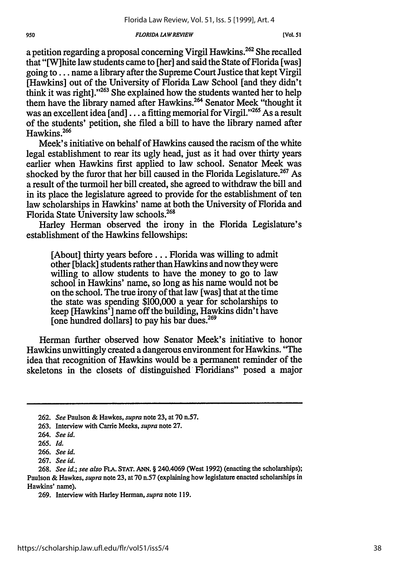#### *FLORIDA LAWREVIEW*

a petition regarding a proposal concerning Virgil Hawkins.<sup>262</sup> She recalled that "[W]hite law students came to [her] and said the State of Florida [was] going to... name a library after the Supreme Court Justice that kept Virgil [Hawkins] out of the University of Florida Law School [and they didn't think it was right]."<sup>263</sup> She explained how the students wanted her to help them have the library named after Hawkins.<sup>264</sup> Senator Meek "thought it was an excellent idea [and]  $\ldots$  a fitting memorial for Virgil."<sup>265</sup> As a result of the students' petition, she filed a bill to have the library named after Hawkins.266

Meek's initiative on behalf of Hawkins caused the racism of the white legal establishment to rear its ugly head, just as it had over thirty years earlier when Hawkins first applied to law school. Senator Meek was shocked by the furor that her bill caused in the Florida Legislature.<sup>267</sup> As a result of the turmoil her bill created, she agreed to withdraw the bill and in its place the legislature agreed to provide for the establishment of ten law scholarships in Hawkins' name at both the University of Florida and Florida State University law schools.<sup>268</sup>

Harley Herman observed the irony in the Florida Legislature's establishment of the Hawkins fellowships:

[About] thirty years before... Florida was willing to admit other [black] students rather than Hawkins and now they were willing to allow students to have the money to go to law school in Hawkins' name, so long as his name would not be on the school. The true irony of that law [was] that at the time the state was spending \$100,000 a year for scholarships to keep [Hawkins'] name off the building, Hawkins didn't have [one hundred dollars] to pay his bar dues.<sup>269</sup>

Herman further observed how Senator Meek's initiative to honor Hawkins unwittingly created a dangerous environment for Hawkins. "The idea that recognition of Hawkins would be a permanent reminder of the skeletons in the closets of distinguished Floridians" posed a major

<sup>262.</sup> *See* Paulson & Hawkes, *supra* note 23, at 70 n.57.

<sup>263.</sup> Interview with Carrie Meeks, *supra* note 27.

<sup>264.</sup> *See id.*

**<sup>265.</sup>** *Id.*

<sup>266.</sup> *See id.*

<sup>267.</sup> *See id.*

<sup>268.</sup> *See id.; see also FIA.* **STAT. ANN.** § 240.4069 (West 1992) (enacting the scholarships); Paulson & Hawkes, *supra* note 23, at 70 n.57 (explaining how legislature enacted scholarships in Hawkins' name).

<sup>269.</sup> Interview with Harley Herman, *supra* note 119.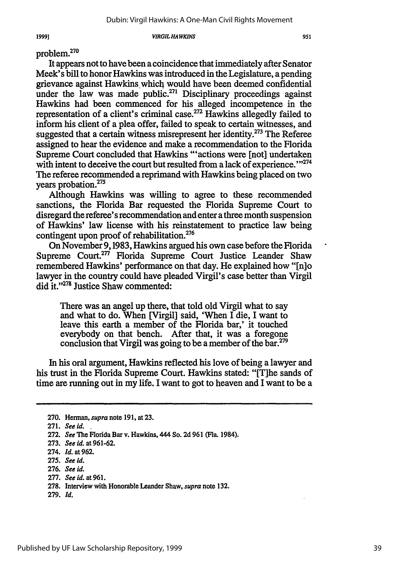problem.270

It appears not to have been acoincidence that immediately after Senator Meek's bill to honor Hawkins was introduced in the Legislature, a pending grievance against Hawkins which would have been deemed confidential under the law was made public.<sup>271</sup> Disciplinary proceedings against Hawkins had been commenced for his alleged incompetence in the representation of a client's criminal case.<sup>272</sup> Hawkins allegedly failed to inform his client of a plea offer, failed to speak to certain witnesses, and suggested that a certain witness misrepresent her identity.<sup>273</sup> The Referee assigned to hear the evidence and make a recommendation to the Florida Supreme Court concluded that Hawkins "'actions were [not] undertaken with intent to deceive the court but resulted from a lack of experience."<sup>274</sup> The referee recommended a reprimand with Hawkins being placed on two **<sup>275</sup>** years probation.

Although Hawkins was willing to agree to these recommended sanctions, the Florida Bar requested the Florida Supreme Court to disregard the referee's recommendation and enter a three month suspension of Hawkins' law license with his reinstatement to practice law being contingent upon proof of rehabilitation.<sup>276</sup>

On November 9,1983, Hawkins argued his own case before the Florida Supreme Court.<sup>277</sup> Florida Supreme Court Justice Leander Shaw remembered Hawkins' performance on that day. He explained how "[n]o lawyer in the country could have pleaded Virgil's case better than Virgil did it."<sup>278</sup> Justice Shaw commented:

There was an angel up there, that told old Virgil what to say and what to do. When [Virgil] said, 'When I die, I want to leave this earth a member of the Florida bar,' it touched everybody on that bench. After that, it was a foregone conclusion that Virgil was going to be a member of the bar.<sup>279</sup>

In his oral argument, Hawkins reflected his love of being a lawyer and his trust in the Florida Supreme Court. Hawkins stated: "[The sands of time are running out in my life. I want to got to heaven and I want to be a

**276.** *See id.*

**279.** *Id.*

<sup>270.</sup> Herman, *supra* note 191, at **23.**

**<sup>271.</sup>** *See id.* **,**

<sup>272.</sup> *See* The Florida Bar v. Hawkins, 444 So. **2d** 961 (Fla. 1984).

<sup>273.</sup> *See id.* at 961-62.

<sup>274.</sup> *Id.* at 962.

**<sup>275.</sup>** *See id.*

**<sup>277.</sup>** *See id.* at **961.**

**<sup>278.</sup>** Interview with Honorable Leander Shaw, *supra* note **132.**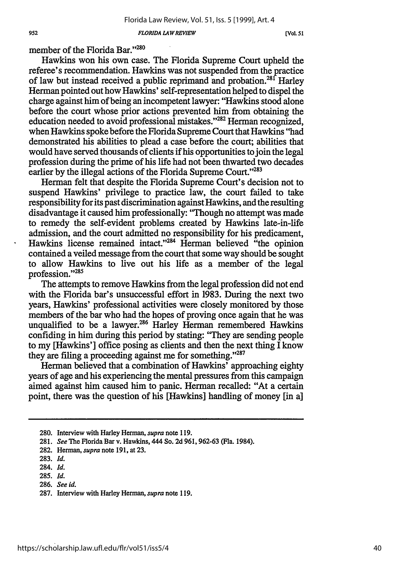*FLORIDA LAW REVIEW*

**[Vol.** *51*

member of the Florida Bar."<sup>280</sup>

Hawkins won his own case. The Florida Supreme Court upheld the referee's recommendation. Hawkins was not suspended from the practice of law but instead received a public reprimand and probation.<sup>28f</sup> Harley Herman pointed out how Hawkins' self-representation helped to dispel the charge against him of being an incompetent lawyer: "Hawkins stood alone before the court whose prior actions prevented him from obtaining the education needed to avoid professional mistakes."<sup>282</sup> Herman recognized, when Hawkins spoke before the Florida Supreme Court that Hawkins "had demonstrated his abilities to plead a case before the court; abilities that would have served thousands of clients if his opportunities to join the legal profession during the prime of his life had not been thwarted two decades earlier by the illegal actions of the Florida Supreme Court."<sup>283</sup>

Herman felt that despite the Florida Supreme Court's decision not to suspend Hawkins' privilege to practice law, the court failed to take responsibility for its past discrimination against Hawkins, and the resulting disadvantage it caused him professionally: 'Though no attempt was made to remedy the self-evident problems created **by** Hawkins late-in-life admission, and the court admitted no responsibility for his predicament, Hawkins license remained intact."<sup>284</sup> Herman believed "the opinion" contained a veiled message from the court that some way should be sought to allow Hawkins to live out his life as a member of the legal profession."285

The attempts to remove Hawkins from the legal profession did not end with the Florida bar's unsuccessful effort in **1983.** During the next two years, Hawkins' professional activities were closely monitored **by** those members of the bar who had the hopes of proving once again that he was unqualified to be a lawyer.<sup>286</sup> Harley Herman remembered Hawkins confiding in him during this period **by** stating: "They are sending people to my [Hawkins'] office posing as clients and then the next thing I know they are filing a proceeding against me for something."'287

Herman believed that a combination of Hawkins' approaching eighty years of age and his experiencing the mental pressures from this campaign aimed against him caused him to panic. Herman recalled: "At a certain point, there was the question of his [Hawkins] handling of money [in a]

**<sup>280.</sup>** Interview with Harley Herman, *supra* note **119.**

**<sup>281.</sup>** *See* The Florida Bar v. Hawkins, 444 So. **2d 961, 962-63** (Fla. 1984).

**<sup>282.</sup>** Herman, *supra* note **191,** at **23.**

**<sup>283.</sup>** *Id.*

<sup>284.</sup> *Id.*

**<sup>285.</sup>** *Id.*

**<sup>286.</sup>** *See id.*

**<sup>287.</sup>** Interview with Harley Herman, *supra* note **119.**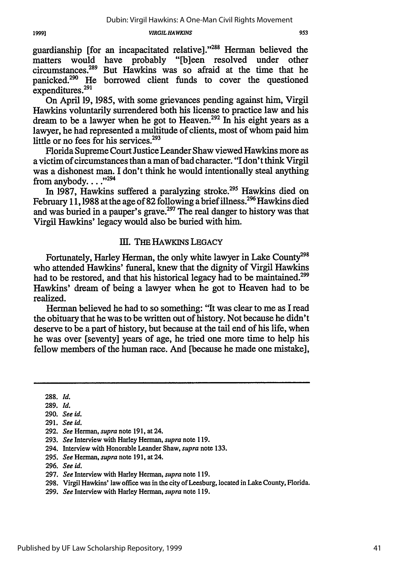953

guardianship [for an incapacitated relative]. '288 Herman believed the matters would have probably "[b]een resolved under other circumstances.<sup>289</sup> But Hawkins was so afraid at the time that he panicked.<sup>290</sup> He borrowed client funds to cover the questioned expenditures.291

On April 19, 1985, with some grievances pending against him, Virgil Hawkins voluntarily surrendered both his license to practice law and his dream to be a lawyer when he got to Heaven.<sup>292</sup> In his eight years as a lawyer, he had represented a multitude of clients, most of whom paid him little or no fees for his services.<sup>293</sup>

Florida Supreme Court Justice Leander Shaw viewed Hawkins more as a victim of circumstances than a man of bad character. "I don't think Virgil was a dishonest man. I don't think he would intentionally steal anything from anybody...." $^{294}$ 

In 1987, Hawkins suffered a paralyzing stroke.<sup>295</sup> Hawkins died on February 11, 1988 at the age of 82 following a brief illness.<sup>296</sup> Hawkins died and was buried in a pauper's grave.<sup>297</sup> The real danger to history was that Virgil Hawkins' legacy would also be buried with him.

## III. THE HAWKINS LEGACY

Fortunately, Harley Herman, the only white lawyer in Lake County<sup>298</sup> who attended Hawkins' funeral, knew that the dignity of Virgil Hawkins had to be restored, and that his historical legacy had to be maintained.<sup>299</sup> Hawkins' dream of being a lawyer when he got to Heaven had to be realized.

Herman believed he had to so something: "It was clear to me as I read the obituary that he was to be written out of history. Not because he didn't deserve to be a part of history, but because at the tail end of his life, when he was over [seventy] years of age, he tried one more time to help his fellow members of the human race. And [because he made one mistake],

**288.** *Id.*

- 289. *Id.*
- 290. *See id.*
- 291. *See 1d.*
- 292. *See* Herman, *supra* note 191, at 24.
- 293. *See* Interview with Harley Herman, *supra* note 119.
- 294. Interview with Honorable Leander Shaw, *supra* note 133.
- 295. *See* Herman, *supra* note 191, at 24.
- 296. *See id.*
- 297. *See* Interview with Harley Herman, *supra* note 119.
- 298. Virgil Hawkins' law office was in the city of Leesburg, located in Lake County, Florida.
- 299. *See* Interview with Harley Herman, *supra* note 119.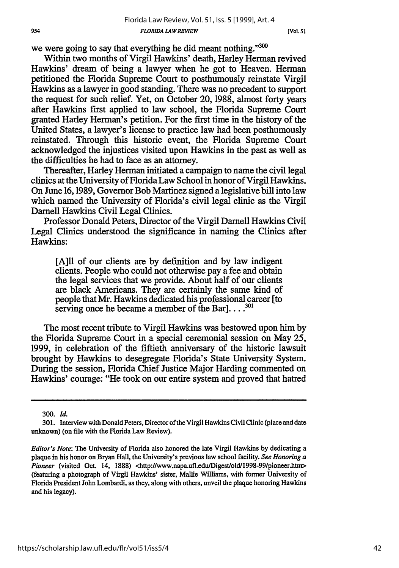**[VOL 51**

we were going to say that everything he did meant nothing."300

Within two months of Virgil Hawkins' death, Harley Herman revived Hawkins' dream of being a lawyer when he got to Heaven. Herman petitioned the Florida Supreme Court to posthumously reinstate Virgil Hawkins as a lawyer in good standing. There was no precedent to support the request for such relief. Yet, on October 20, 1988, almost forty years after Hawkins first applied to law school, the Florida Supreme Court granted Harley Herman's petition. For the first time in the history of the United States, a lawyer's license to practice law had been posthumously reinstated. Through this historic event, the Florida Supreme Court acknowledged the injustices visited upon Hawkins in the past as well as the difficulties he had to face as an attorney.

Thereafter, Harley Herman initiated a campaign to name the civil legal clinics at the University of Florida Law School in honor of Virgil Hawkins. On June 16,1989, Governor Bob Martinez signed a legislative bill into law which named the University of Florida's civil legal clinic as the Virgil Darnell Hawkins Civil Legal Clinics.

Professor Donald Peters, Director of the Virgil Darnell Hawkins Civil Legal Clinics understood the significance in naming the Clinics after Hawkins:

[AIll of our clients are by definition and by law indigent clients. People who could not otherwise pay a fee and obtain the legal services that we provide. About half of our clients are black Americans. They are certainly the same kind of people that Mr. Hawkins dedicated his professional career [to serving once he became a member of the Bar].  $\ldots$ <sup>301</sup>

The most recent tribute to Virgil Hawkins was bestowed upon him by the Florida Supreme Court in a special ceremonial session on May 25, 1999, in celebration of the fiffieth anniversary of the historic lawsuit brought by Hawkins to desegregate Florida's State University System. During the session, Florida Chief Justice Major Harding commented on Hawkins' courage: "He took on our entire system and proved that hatred

300. *Id.*

<sup>301.</sup> Interview with Donald Peters, Director of the Virgil Hawkins Civil Clinic (place and date unknown) (on file with the Florida Law Review).

*Editor's Note:* The University of Florida also honored the late Virgil Hawkins **by** dedicating a plaque in his honor on Bryan Hall, the University's previous law school facility. *See Honoring a Pioneer* (visited Oct. 14, 1888) <http://www.napa.ufl.edu/Digest/old/1998-99/pioneer.htm> (featuring a photograph of Virgil Hawkins' sister, Mallie Williams, with former University of Florida President John Lombardi, as they, along with others, unveil the plaque honoring Hawkins and his legacy).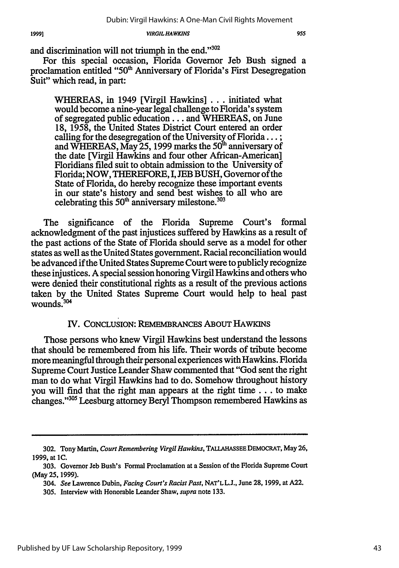and discrimination will not triumph in the end."302

For this special occasion, Florida Governor Jeb Bush signed a proclamation entitled "50<sup>th</sup> Anniversary of Florida's First Desegregation Suit" which read, in part:

WHEREAS, in 1949 [Virgil Hawkins] ... initiated what would become a nine-year legal challenge to Florida's system of segregated public education... and WHEREAS, on June 18, 1958, the United States District Court entered an order calling for the desegregation of the University of Florida... **;** and WHEREAS, May 25, 1999 marks the 50<sup>th</sup> anniversary of the date [Virgil Hawkins and four other African-American] Floridians filed suit to obtain admission to the University of Florida; NOW, THEREFORE, I, **JEB** BUSH, Governor of the State of Florida, do hereby recognize these important events in our state's history and send best wishes to all who are celebrating this  $50<sup>th</sup>$  anniversary milestone.<sup>303</sup>

The significance of the Florida Supreme Court's formal acknowledgment of the past injustices suffered by Hawkins as a result of the past actions of the State of Florida should serve as a model for other states as well as the United States government. Racial reconciliation would be advanced if the United States Supreme Court were to publicly recognize these injustices. A special session honoring Virgil Hawkins and others who were denied their constitutional rights as a result of the previous actions taken by the United States Supreme Court would help to heal past wounds. $304$ 

### IV. CONCLUSION: REmEMBRANCES ABOUT HAWKiNS

Those persons who knew Virgil Hawkins best understand the lessons that should be remembered from his life. Their words of tribute become more meaningful through their personal experiences with Hawkins. Florida Supreme Court Justice Leander Shaw commented that "God sent the right man to do what Virgil Hawkins had to do. Somehow throughout history you will find that the right man appears at the right time.., to make changes."<sup>305</sup> Leesburg attorney Beryl Thompson remembered Hawkins as

<sup>302.</sup> Tony Martin, *Court Remembering Virgil Hawkins,* **TALLAHASSEE** DEMOCRAT, May 26, 1999, at **1C.**

<sup>303.</sup> Governor Jeb Bush's Formal Proclamation at a Session of the Florida Supreme Court (May **25,** 1999).

*<sup>304.</sup> See* Lawrence Dubin, *Facing Court's Racist Past,* **NAT'LL.J.,** June 28, 1999, at A22.

<sup>305.</sup> Interview with Honorable Leander Shaw, *supra* note 133.